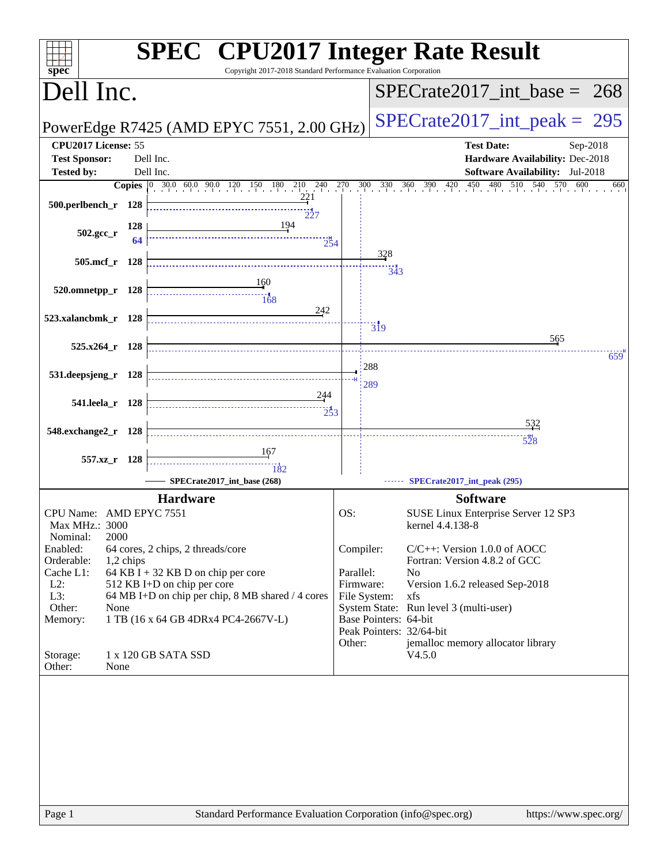| spec <sup>®</sup>       |              | <b>SPEC<sup>®</sup></b> CPU2017 Integer Rate Result<br>Copyright 2017-2018 Standard Performance Evaluation Corporation |                 |                       |                                                                  |
|-------------------------|--------------|------------------------------------------------------------------------------------------------------------------------|-----------------|-----------------------|------------------------------------------------------------------|
| Dell Inc.               |              |                                                                                                                        |                 |                       | $SPECrate2017\_int\_base = 268$                                  |
|                         |              | PowerEdge R7425 (AMD EPYC 7551, 2.00 GHz)                                                                              |                 |                       | $SPECTate2017\_int\_peak = 295$                                  |
| CPU2017 License: 55     |              |                                                                                                                        |                 |                       | <b>Test Date:</b><br>Sep-2018                                    |
| <b>Test Sponsor:</b>    |              | Dell Inc.                                                                                                              |                 |                       | Hardware Availability: Dec-2018                                  |
| <b>Tested by:</b>       |              | Dell Inc.                                                                                                              |                 |                       | <b>Software Availability:</b> Jul-2018                           |
|                         |              | <b>Copies</b> 0 30.0 60.0 90.0 120 150 180 210 240 270 300 330 360 390 420 450 480 510 540 570                         |                 |                       | 600<br>660                                                       |
| 500.perlbench_r 128     |              | <u>221</u><br>227                                                                                                      |                 |                       |                                                                  |
|                         | 128          | 194                                                                                                                    |                 |                       |                                                                  |
| $502.\text{gcc}_r$      | 64           |                                                                                                                        | 254             |                       |                                                                  |
|                         |              |                                                                                                                        |                 | 328                   |                                                                  |
| 505.mcf_r 128           |              |                                                                                                                        |                 | 343                   |                                                                  |
|                         |              | 160                                                                                                                    |                 |                       |                                                                  |
| 520.omnetpp_r 128       |              |                                                                                                                        |                 |                       |                                                                  |
| 523.xalancbmk_r 128     |              | 242                                                                                                                    |                 |                       |                                                                  |
|                         |              |                                                                                                                        |                 | $\frac{1}{3}$ 9       |                                                                  |
| $525.x264$ r 128        |              |                                                                                                                        |                 |                       | 565                                                              |
|                         |              |                                                                                                                        |                 |                       | 659                                                              |
| 531.deepsjeng_r 128     |              |                                                                                                                        |                 | 288                   |                                                                  |
|                         |              |                                                                                                                        |                 | 289                   |                                                                  |
| 541.leela_r 128         |              | 244                                                                                                                    |                 |                       |                                                                  |
|                         |              |                                                                                                                        | $\frac{1}{253}$ |                       |                                                                  |
| 548.exchange2_r 128     |              |                                                                                                                        |                 |                       | 532                                                              |
|                         |              |                                                                                                                        |                 |                       | 528                                                              |
|                         | 557.xz_r 128 | 167                                                                                                                    |                 |                       |                                                                  |
|                         |              | <br>182                                                                                                                |                 |                       |                                                                  |
|                         |              | SPECrate2017_int_base (268)                                                                                            |                 |                       | SPECrate2017_int_peak (295)                                      |
|                         |              | <b>Hardware</b>                                                                                                        |                 |                       | <b>Software</b>                                                  |
| CPU Name: AMD EPYC 7551 |              |                                                                                                                        | OS:             |                       | SUSE Linux Enterprise Server 12 SP3                              |
| Max MHz.: 3000          |              |                                                                                                                        |                 |                       | kernel 4.4.138-8                                                 |
| Nominal:<br>Enabled:    | 2000         |                                                                                                                        |                 |                       |                                                                  |
| Orderable:              | 1,2 chips    | 64 cores, 2 chips, 2 threads/core                                                                                      | Compiler:       |                       | $C/C++$ : Version 1.0.0 of AOCC<br>Fortran: Version 4.8.2 of GCC |
| Cache L1:               |              | 64 KB I + 32 KB D on chip per core                                                                                     | Parallel:       |                       | N <sub>0</sub>                                                   |
| $L2$ :                  |              | 512 KB I+D on chip per core                                                                                            |                 | Firmware:             | Version 1.6.2 released Sep-2018                                  |
| L3:                     |              | 64 MB I+D on chip per chip, 8 MB shared / 4 cores                                                                      |                 | File System:          | xfs                                                              |
| Other:<br>Memory:       | None         | 1 TB (16 x 64 GB 4DRx4 PC4-2667V-L)                                                                                    |                 | Base Pointers: 64-bit | System State: Run level 3 (multi-user)                           |
|                         |              |                                                                                                                        |                 |                       | Peak Pointers: 32/64-bit                                         |
|                         |              |                                                                                                                        | Other:          |                       | jemalloc memory allocator library                                |
| Storage:                |              | 1 x 120 GB SATA SSD                                                                                                    |                 |                       | V4.5.0                                                           |
| Other:                  | None         |                                                                                                                        |                 |                       |                                                                  |
|                         |              |                                                                                                                        |                 |                       |                                                                  |
|                         |              |                                                                                                                        |                 |                       |                                                                  |
|                         |              |                                                                                                                        |                 |                       |                                                                  |
|                         |              |                                                                                                                        |                 |                       |                                                                  |
|                         |              |                                                                                                                        |                 |                       |                                                                  |
|                         |              |                                                                                                                        |                 |                       |                                                                  |
|                         |              |                                                                                                                        |                 |                       |                                                                  |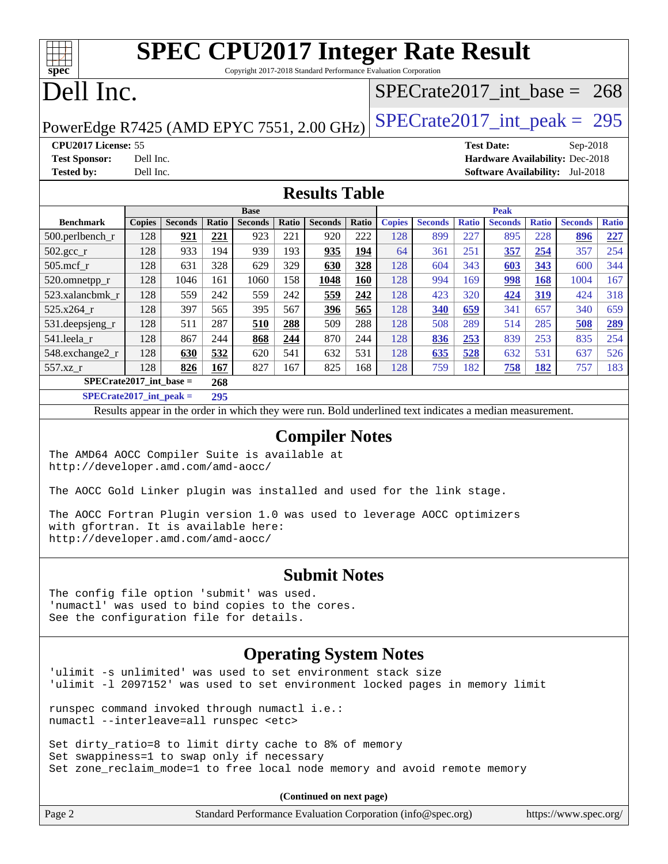|          | <b>SPEC CPU2017 Integer Rate Result</b>                         |
|----------|-----------------------------------------------------------------|
| $Spec^*$ | Copyright 2017-2018 Standard Performance Evaluation Corporation |
|          | Dell Inc.<br>SPECrate2017 int base = $268$                      |

PowerEdge R7425 (AMD EPYC 7551, 2.00 GHz)  $\text{SPECrate2017\_int\_peak} = 295$ 

**[CPU2017 License:](http://www.spec.org/auto/cpu2017/Docs/result-fields.html#CPU2017License)** 55 **[Test Date:](http://www.spec.org/auto/cpu2017/Docs/result-fields.html#TestDate)** Sep-2018 **[Test Sponsor:](http://www.spec.org/auto/cpu2017/Docs/result-fields.html#TestSponsor)** Dell Inc. **[Hardware Availability:](http://www.spec.org/auto/cpu2017/Docs/result-fields.html#HardwareAvailability)** Dec-2018 **[Tested by:](http://www.spec.org/auto/cpu2017/Docs/result-fields.html#Testedby)** Dell Inc. **[Software Availability:](http://www.spec.org/auto/cpu2017/Docs/result-fields.html#SoftwareAvailability)** Jul-2018

### **[Results Table](http://www.spec.org/auto/cpu2017/Docs/result-fields.html#ResultsTable)**

|                               | <b>Base</b>   |                |       |                |       |                | <b>Peak</b> |               |                |              |                |              |                |              |
|-------------------------------|---------------|----------------|-------|----------------|-------|----------------|-------------|---------------|----------------|--------------|----------------|--------------|----------------|--------------|
| <b>Benchmark</b>              | <b>Copies</b> | <b>Seconds</b> | Ratio | <b>Seconds</b> | Ratio | <b>Seconds</b> | Ratio       | <b>Copies</b> | <b>Seconds</b> | <b>Ratio</b> | <b>Seconds</b> | <b>Ratio</b> | <b>Seconds</b> | <b>Ratio</b> |
| $500$ .perlbench r            | 128           | 921            | 221   | 923            | 221   | 920            | 222         | 128           | 899            | 227          | 895            | 228          | 896            | 227          |
| $502.\text{sec}$ <sub>r</sub> | 128           | 933            | 194   | 939            | 193   | 935            | 194         | 64            | 361            | 251          | 357            | 254          | 357            | 254          |
| $505$ .mcf r                  | 128           | 631            | 328   | 629            | 329   | 630            | 328         | 128           | 604            | 343          | 603            | 343          | 600            | 344          |
| 520.omnetpp_r                 | 128           | 1046           | 161   | 1060           | 158   | 1048           | 160         | 128           | 994            | 169          | 998            | 168          | 1004           | 167          |
| 523.xalancbmk r               | 128           | 559            | 242   | 559            | 242   | 559            | 242         | 128           | 423            | 320          | 424            | 319          | 424            | 318          |
| 525.x264 r                    | 128           | 397            | 565   | 395            | 567   | 396            | 565         | 128           | 340            | 659          | 341            | 657          | 340            | 659          |
| 531.deepsjeng_r               | 128           | 511            | 287   | 510            | 288   | 509            | 288         | 128           | 508            | 289          | 514            | 285          | 508            | 289          |
| 541.leela r                   | 128           | 867            | 244   | 868            | 244   | 870            | 244         | 128           | 836            | 253          | 839            | 253          | 835            | 254          |
| 548.exchange2_r               | 128           | 630            | 532   | 620            | 541   | 632            | 531         | 128           | 635            | 528          | 632            | 531          | 637            | 526          |
| 557.xz r                      | 128           | 826            | 167   | 827            | 167   | 825            | 168         | 128           | 759            | 182          | 758            | 182          | 757            | 183          |
| $SPECrate2017$ int base =     |               |                | 268   |                |       |                |             |               |                |              |                |              |                |              |

**[SPECrate2017\\_int\\_peak =](http://www.spec.org/auto/cpu2017/Docs/result-fields.html#SPECrate2017intpeak) 295**

Results appear in the [order in which they were run](http://www.spec.org/auto/cpu2017/Docs/result-fields.html#RunOrder). Bold underlined text [indicates a median measurement](http://www.spec.org/auto/cpu2017/Docs/result-fields.html#Median).

### **[Compiler Notes](http://www.spec.org/auto/cpu2017/Docs/result-fields.html#CompilerNotes)**

The AMD64 AOCC Compiler Suite is available at <http://developer.amd.com/amd-aocc/>

The AOCC Gold Linker plugin was installed and used for the link stage.

The AOCC Fortran Plugin version 1.0 was used to leverage AOCC optimizers with gfortran. It is available here: <http://developer.amd.com/amd-aocc/>

### **[Submit Notes](http://www.spec.org/auto/cpu2017/Docs/result-fields.html#SubmitNotes)**

The config file option 'submit' was used. 'numactl' was used to bind copies to the cores. See the configuration file for details.

### **[Operating System Notes](http://www.spec.org/auto/cpu2017/Docs/result-fields.html#OperatingSystemNotes)**

'ulimit -s unlimited' was used to set environment stack size 'ulimit -l 2097152' was used to set environment locked pages in memory limit

runspec command invoked through numactl i.e.: numactl --interleave=all runspec <etc>

Set dirty\_ratio=8 to limit dirty cache to 8% of memory Set swappiness=1 to swap only if necessary Set zone\_reclaim\_mode=1 to free local node memory and avoid remote memory

**(Continued on next page)**

| Page 2 | Standard Performance Evaluation Corporation (info@spec.org) | https://www.spec.org/ |
|--------|-------------------------------------------------------------|-----------------------|
|--------|-------------------------------------------------------------|-----------------------|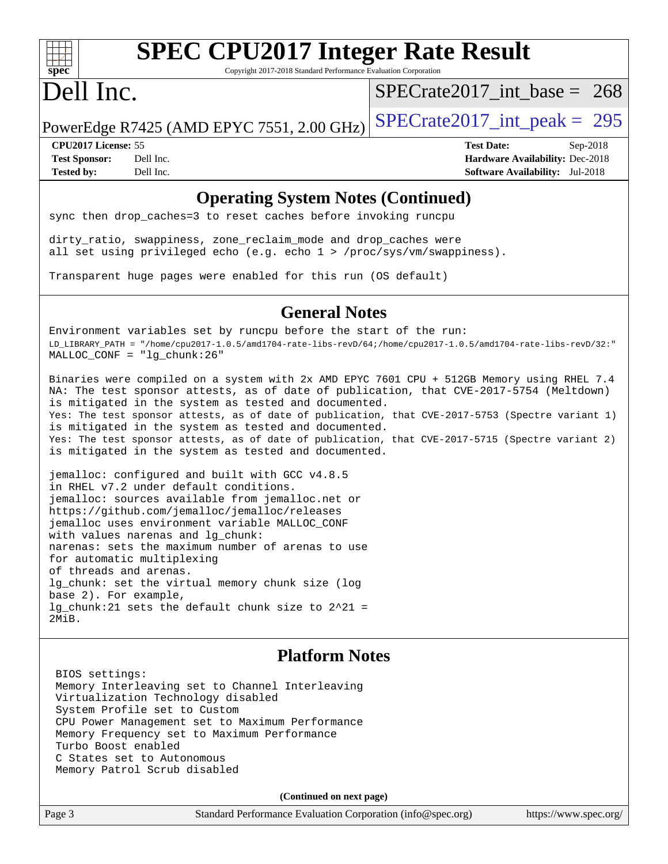

# **[SPEC CPU2017 Integer Rate Result](http://www.spec.org/auto/cpu2017/Docs/result-fields.html#SPECCPU2017IntegerRateResult)**

Copyright 2017-2018 Standard Performance Evaluation Corporation

## Dell Inc.

[SPECrate2017\\_int\\_base =](http://www.spec.org/auto/cpu2017/Docs/result-fields.html#SPECrate2017intbase) 268

PowerEdge R7425 (AMD EPYC 7551, 2.00 GHz)  $\text{SPECrate}2017\_int\_peak = 295$ 

**[Tested by:](http://www.spec.org/auto/cpu2017/Docs/result-fields.html#Testedby)** Dell Inc. **[Software Availability:](http://www.spec.org/auto/cpu2017/Docs/result-fields.html#SoftwareAvailability)** Jul-2018

**[CPU2017 License:](http://www.spec.org/auto/cpu2017/Docs/result-fields.html#CPU2017License)** 55 **[Test Date:](http://www.spec.org/auto/cpu2017/Docs/result-fields.html#TestDate)** Sep-2018 **[Test Sponsor:](http://www.spec.org/auto/cpu2017/Docs/result-fields.html#TestSponsor)** Dell Inc. **[Hardware Availability:](http://www.spec.org/auto/cpu2017/Docs/result-fields.html#HardwareAvailability)** Dec-2018

### **[Operating System Notes \(Continued\)](http://www.spec.org/auto/cpu2017/Docs/result-fields.html#OperatingSystemNotes)**

sync then drop\_caches=3 to reset caches before invoking runcpu

dirty\_ratio, swappiness, zone\_reclaim\_mode and drop\_caches were all set using privileged echo (e.g. echo 1 > /proc/sys/vm/swappiness).

Transparent huge pages were enabled for this run (OS default)

### **[General Notes](http://www.spec.org/auto/cpu2017/Docs/result-fields.html#GeneralNotes)**

Environment variables set by runcpu before the start of the run: LD\_LIBRARY\_PATH = "/home/cpu2017-1.0.5/amd1704-rate-libs-revD/64;/home/cpu2017-1.0.5/amd1704-rate-libs-revD/32:" MALLOC\_CONF = "lg\_chunk:26"

Binaries were compiled on a system with 2x AMD EPYC 7601 CPU + 512GB Memory using RHEL 7.4 NA: The test sponsor attests, as of date of publication, that CVE-2017-5754 (Meltdown) is mitigated in the system as tested and documented. Yes: The test sponsor attests, as of date of publication, that CVE-2017-5753 (Spectre variant 1) is mitigated in the system as tested and documented. Yes: The test sponsor attests, as of date of publication, that CVE-2017-5715 (Spectre variant 2) is mitigated in the system as tested and documented.

jemalloc: configured and built with GCC v4.8.5 in RHEL v7.2 under default conditions. jemalloc: sources available from jemalloc.net or <https://github.com/jemalloc/jemalloc/releases> jemalloc uses environment variable MALLOC\_CONF with values narenas and lg\_chunk: narenas: sets the maximum number of arenas to use for automatic multiplexing of threads and arenas. lg\_chunk: set the virtual memory chunk size (log base 2). For example, lg\_chunk:21 sets the default chunk size to 2^21 = 2MiB.

### **[Platform Notes](http://www.spec.org/auto/cpu2017/Docs/result-fields.html#PlatformNotes)**

 BIOS settings: Memory Interleaving set to Channel Interleaving Virtualization Technology disabled System Profile set to Custom CPU Power Management set to Maximum Performance Memory Frequency set to Maximum Performance Turbo Boost enabled C States set to Autonomous Memory Patrol Scrub disabled

**(Continued on next page)**

Page 3 Standard Performance Evaluation Corporation [\(info@spec.org\)](mailto:info@spec.org) <https://www.spec.org/>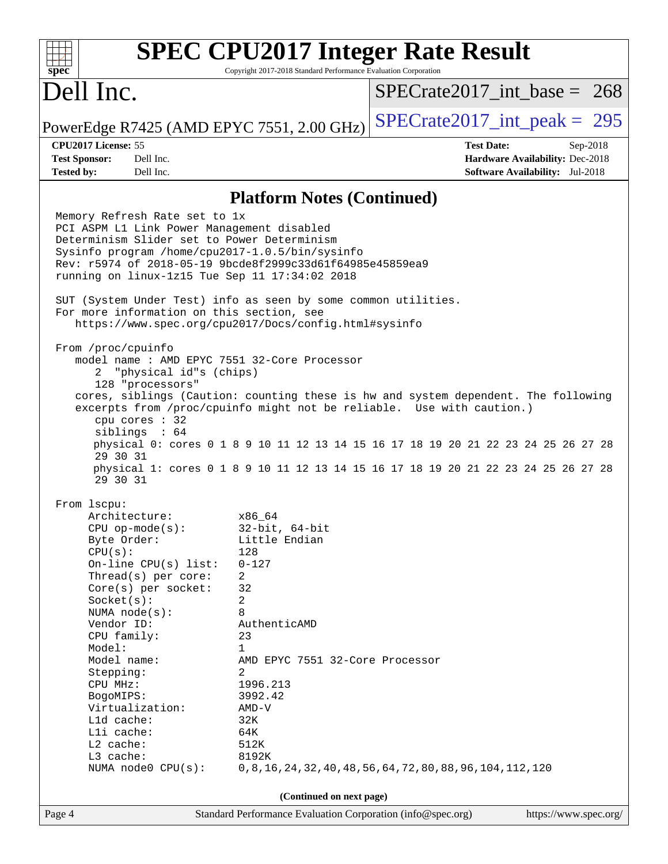|                                                                                                                                                             |                                                                 | <b>SPEC CPU2017 Integer Rate Result</b>                                            |                                                                           |  |
|-------------------------------------------------------------------------------------------------------------------------------------------------------------|-----------------------------------------------------------------|------------------------------------------------------------------------------------|---------------------------------------------------------------------------|--|
| spec<br>Dell Inc.                                                                                                                                           | Copyright 2017-2018 Standard Performance Evaluation Corporation | $SPECrate2017\_int\_base = 268$                                                    |                                                                           |  |
| PowerEdge R7425 (AMD EPYC 7551, 2.00 GHz)                                                                                                                   |                                                                 | $SPECrate2017\_int\_peak = 295$                                                    |                                                                           |  |
| CPU2017 License: 55                                                                                                                                         |                                                                 | <b>Test Date:</b>                                                                  | Sep-2018                                                                  |  |
| <b>Test Sponsor:</b><br>Dell Inc.<br><b>Tested by:</b><br>Dell Inc.                                                                                         |                                                                 |                                                                                    | Hardware Availability: Dec-2018<br><b>Software Availability:</b> Jul-2018 |  |
|                                                                                                                                                             |                                                                 |                                                                                    |                                                                           |  |
|                                                                                                                                                             | <b>Platform Notes (Continued)</b>                               |                                                                                    |                                                                           |  |
| Memory Refresh Rate set to 1x                                                                                                                               |                                                                 |                                                                                    |                                                                           |  |
| PCI ASPM L1 Link Power Management disabled<br>Determinism Slider set to Power Determinism                                                                   |                                                                 |                                                                                    |                                                                           |  |
| Sysinfo program /home/cpu2017-1.0.5/bin/sysinfo                                                                                                             |                                                                 |                                                                                    |                                                                           |  |
| Rev: r5974 of 2018-05-19 9bcde8f2999c33d61f64985e45859ea9<br>running on linux-1z15 Tue Sep 11 17:34:02 2018                                                 |                                                                 |                                                                                    |                                                                           |  |
|                                                                                                                                                             |                                                                 |                                                                                    |                                                                           |  |
| SUT (System Under Test) info as seen by some common utilities.                                                                                              |                                                                 |                                                                                    |                                                                           |  |
| For more information on this section, see<br>https://www.spec.org/cpu2017/Docs/config.html#sysinfo                                                          |                                                                 |                                                                                    |                                                                           |  |
|                                                                                                                                                             |                                                                 |                                                                                    |                                                                           |  |
| From /proc/cpuinfo<br>model name: AMD EPYC 7551 32-Core Processor                                                                                           |                                                                 |                                                                                    |                                                                           |  |
| 2 "physical id"s (chips)                                                                                                                                    |                                                                 |                                                                                    |                                                                           |  |
| 128 "processors"                                                                                                                                            |                                                                 |                                                                                    |                                                                           |  |
| cores, siblings (Caution: counting these is hw and system dependent. The following<br>excerpts from /proc/cpuinfo might not be reliable. Use with caution.) |                                                                 |                                                                                    |                                                                           |  |
| cpu cores : 32                                                                                                                                              |                                                                 |                                                                                    |                                                                           |  |
| siblings : 64                                                                                                                                               |                                                                 |                                                                                    |                                                                           |  |
| 29 30 31                                                                                                                                                    |                                                                 | physical 0: cores 0 1 8 9 10 11 12 13 14 15 16 17 18 19 20 21 22 23 24 25 26 27 28 |                                                                           |  |
|                                                                                                                                                             |                                                                 | physical 1: cores 0 1 8 9 10 11 12 13 14 15 16 17 18 19 20 21 22 23 24 25 26 27 28 |                                                                           |  |
| 29 30 31                                                                                                                                                    |                                                                 |                                                                                    |                                                                           |  |
| From 1scpu:                                                                                                                                                 |                                                                 |                                                                                    |                                                                           |  |
| Architecture:                                                                                                                                               | x86 64                                                          |                                                                                    |                                                                           |  |
| $CPU$ op-mode( $s$ ):                                                                                                                                       | $32$ -bit, $64$ -bit                                            |                                                                                    |                                                                           |  |
| Byte Order:<br>CPU(s):                                                                                                                                      | Little Endian<br>128                                            |                                                                                    |                                                                           |  |
| On-line $CPU(s)$ list:                                                                                                                                      | $0 - 127$                                                       |                                                                                    |                                                                           |  |
| Thread(s) per core:                                                                                                                                         | 2                                                               |                                                                                    |                                                                           |  |
| Core(s) per socket:<br>Socket(s):                                                                                                                           | 32<br>2                                                         |                                                                                    |                                                                           |  |
| NUMA $node(s)$ :                                                                                                                                            | 8                                                               |                                                                                    |                                                                           |  |
| Vendor ID:                                                                                                                                                  | AuthenticAMD                                                    |                                                                                    |                                                                           |  |
| CPU family:<br>Model:                                                                                                                                       | 23<br>1                                                         |                                                                                    |                                                                           |  |
| Model name:                                                                                                                                                 | AMD EPYC 7551 32-Core Processor                                 |                                                                                    |                                                                           |  |
| 2<br>Stepping:                                                                                                                                              |                                                                 |                                                                                    |                                                                           |  |
| CPU MHz:<br>BogoMIPS:                                                                                                                                       | 1996.213<br>3992.42                                             |                                                                                    |                                                                           |  |
| Virtualization:                                                                                                                                             | AMD-V                                                           |                                                                                    |                                                                           |  |
| L1d cache:                                                                                                                                                  | 32K                                                             |                                                                                    |                                                                           |  |
| Lli cache:<br>L2 cache:                                                                                                                                     | 64K<br>512K                                                     |                                                                                    |                                                                           |  |
| L3 cache:                                                                                                                                                   | 8192K                                                           |                                                                                    |                                                                           |  |
| NUMA node0 CPU(s):                                                                                                                                          |                                                                 | 0, 8, 16, 24, 32, 40, 48, 56, 64, 72, 80, 88, 96, 104, 112, 120                    |                                                                           |  |
| (Continued on next page)                                                                                                                                    |                                                                 |                                                                                    |                                                                           |  |
| Page 4                                                                                                                                                      | Standard Performance Evaluation Corporation (info@spec.org)     |                                                                                    | https://www.spec.org/                                                     |  |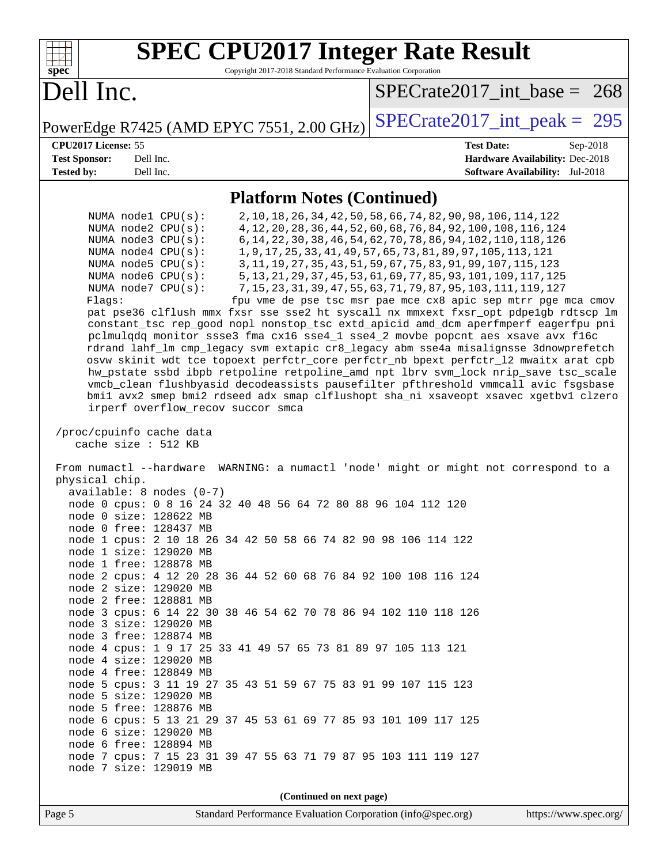| <b>SPEC CPU2017 Integer Rate Result</b><br>Copyright 2017-2018 Standard Performance Evaluation Corporation<br>spec <sup>®</sup>                                                                                                                                                                                                                                                                                                                                                                                                                                                                                                                                                                                                                                                                                                                                                                                                                                                                                                                                                                                                                                                                                                                                                                                                                                                                                                                                                                                                                                                                                                                                                                                                                                                                                                                                                                                                                                                                                                                                                                                  |                                                                                                                                                                                                                                                                                                                                                                                                                                                                                                                                                              |
|------------------------------------------------------------------------------------------------------------------------------------------------------------------------------------------------------------------------------------------------------------------------------------------------------------------------------------------------------------------------------------------------------------------------------------------------------------------------------------------------------------------------------------------------------------------------------------------------------------------------------------------------------------------------------------------------------------------------------------------------------------------------------------------------------------------------------------------------------------------------------------------------------------------------------------------------------------------------------------------------------------------------------------------------------------------------------------------------------------------------------------------------------------------------------------------------------------------------------------------------------------------------------------------------------------------------------------------------------------------------------------------------------------------------------------------------------------------------------------------------------------------------------------------------------------------------------------------------------------------------------------------------------------------------------------------------------------------------------------------------------------------------------------------------------------------------------------------------------------------------------------------------------------------------------------------------------------------------------------------------------------------------------------------------------------------------------------------------------------------|--------------------------------------------------------------------------------------------------------------------------------------------------------------------------------------------------------------------------------------------------------------------------------------------------------------------------------------------------------------------------------------------------------------------------------------------------------------------------------------------------------------------------------------------------------------|
| Dell Inc.                                                                                                                                                                                                                                                                                                                                                                                                                                                                                                                                                                                                                                                                                                                                                                                                                                                                                                                                                                                                                                                                                                                                                                                                                                                                                                                                                                                                                                                                                                                                                                                                                                                                                                                                                                                                                                                                                                                                                                                                                                                                                                        | $SPECTate2017$ int base = 268                                                                                                                                                                                                                                                                                                                                                                                                                                                                                                                                |
| PowerEdge R7425 (AMD EPYC 7551, 2.00 GHz)                                                                                                                                                                                                                                                                                                                                                                                                                                                                                                                                                                                                                                                                                                                                                                                                                                                                                                                                                                                                                                                                                                                                                                                                                                                                                                                                                                                                                                                                                                                                                                                                                                                                                                                                                                                                                                                                                                                                                                                                                                                                        | $SPECrate2017\_int\_peak = 295$                                                                                                                                                                                                                                                                                                                                                                                                                                                                                                                              |
| CPU2017 License: 55                                                                                                                                                                                                                                                                                                                                                                                                                                                                                                                                                                                                                                                                                                                                                                                                                                                                                                                                                                                                                                                                                                                                                                                                                                                                                                                                                                                                                                                                                                                                                                                                                                                                                                                                                                                                                                                                                                                                                                                                                                                                                              | <b>Test Date:</b><br>Sep-2018                                                                                                                                                                                                                                                                                                                                                                                                                                                                                                                                |
| <b>Test Sponsor:</b><br>Dell Inc.<br>Tested by:<br>Dell Inc.                                                                                                                                                                                                                                                                                                                                                                                                                                                                                                                                                                                                                                                                                                                                                                                                                                                                                                                                                                                                                                                                                                                                                                                                                                                                                                                                                                                                                                                                                                                                                                                                                                                                                                                                                                                                                                                                                                                                                                                                                                                     | Hardware Availability: Dec-2018<br>Software Availability: Jul-2018                                                                                                                                                                                                                                                                                                                                                                                                                                                                                           |
|                                                                                                                                                                                                                                                                                                                                                                                                                                                                                                                                                                                                                                                                                                                                                                                                                                                                                                                                                                                                                                                                                                                                                                                                                                                                                                                                                                                                                                                                                                                                                                                                                                                                                                                                                                                                                                                                                                                                                                                                                                                                                                                  |                                                                                                                                                                                                                                                                                                                                                                                                                                                                                                                                                              |
| <b>Platform Notes (Continued)</b>                                                                                                                                                                                                                                                                                                                                                                                                                                                                                                                                                                                                                                                                                                                                                                                                                                                                                                                                                                                                                                                                                                                                                                                                                                                                                                                                                                                                                                                                                                                                                                                                                                                                                                                                                                                                                                                                                                                                                                                                                                                                                |                                                                                                                                                                                                                                                                                                                                                                                                                                                                                                                                                              |
| NUMA node1 CPU(s):<br>NUMA $node2$ $CPU(s)$ :<br>NUMA node3 CPU(s):<br>NUMA $node4$ $CPU(s)$ :<br>NUMA node5 CPU(s):<br>NUMA node6 CPU(s):<br>NUMA node7 CPU(s):<br>Flags:<br>pat pse36 clflush mmx fxsr sse sse2 ht syscall nx mmxext fxsr_opt pdpe1gb rdtscp lm<br>constant_tsc rep_good nopl nonstop_tsc extd_apicid amd_dcm aperfmperf eagerfpu pni<br>pclmulqdq monitor ssse3 fma cx16 sse4_1 sse4_2 movbe popcnt aes xsave avx f16c<br>rdrand lahf_lm cmp_legacy svm extapic cr8_legacy abm sse4a misalignsse 3dnowprefetch<br>osvw skinit wdt tce topoext perfctr_core perfctr_nb bpext perfctr_12 mwaitx arat cpb<br>hw_pstate ssbd ibpb retpoline retpoline_amd npt lbrv svm_lock nrip_save tsc_scale<br>vmcb_clean flushbyasid decodeassists pausefilter pfthreshold vmmcall avic fsgsbase<br>bmil avx2 smep bmi2 rdseed adx smap clflushopt sha_ni xsaveopt xsavec xgetbvl clzero<br>irperf overflow_recov succor smca<br>/proc/cpuinfo cache data<br>cache size : 512 KB<br>From numactl --hardware WARNING: a numactl 'node' might or might not correspond to a<br>physical chip.<br>$available: 8 nodes (0-7)$<br>node 0 cpus: 0 8 16 24 32 40 48 56 64 72 80 88 96 104 112 120<br>node 0 size: 128622 MB<br>node 0 free: 128437 MB<br>node 1 cpus: 2 10 18 26 34 42 50 58 66 74 82 90 98 106 114 122<br>node 1 size: 129020 MB<br>node 1 free: 128878 MB<br>node 2 cpus: 4 12 20 28 36 44 52 60 68 76 84 92 100 108 116 124<br>node 2 size: 129020 MB<br>node 2 free: 128881 MB<br>node 3 cpus: 6 14 22 30 38 46 54 62 70 78 86 94 102 110 118 126<br>node 3 size: 129020 MB<br>node 3 free: 128874 MB<br>node 4 cpus: 1 9 17 25 33 41 49 57 65 73 81 89 97 105 113 121<br>node 4 size: 129020 MB<br>node 4 free: 128849 MB<br>node 5 cpus: 3 11 19 27 35 43 51 59 67 75 83 91 99 107 115 123<br>node 5 size: 129020 MB<br>node 5 free: 128876 MB<br>node 6 cpus: 5 13 21 29 37 45 53 61 69 77 85 93 101 109 117 125<br>node 6 size: 129020 MB<br>node 6 free: 128894 MB<br>node 7 cpus: 7 15 23 31 39 47 55 63 71 79 87 95 103 111 119 127<br>node 7 size: 129019 MB<br>(Continued on next page) | 2, 10, 18, 26, 34, 42, 50, 58, 66, 74, 82, 90, 98, 106, 114, 122<br>4, 12, 20, 28, 36, 44, 52, 60, 68, 76, 84, 92, 100, 108, 116, 124<br>6, 14, 22, 30, 38, 46, 54, 62, 70, 78, 86, 94, 102, 110, 118, 126<br>1, 9, 17, 25, 33, 41, 49, 57, 65, 73, 81, 89, 97, 105, 113, 121<br>3, 11, 19, 27, 35, 43, 51, 59, 67, 75, 83, 91, 99, 107, 115, 123<br>5, 13, 21, 29, 37, 45, 53, 61, 69, 77, 85, 93, 101, 109, 117, 125<br>7, 15, 23, 31, 39, 47, 55, 63, 71, 79, 87, 95, 103, 111, 119, 127<br>fpu vme de pse tsc msr pae mce cx8 apic sep mtrr pge mca cmov |
| Standard Performance Evaluation Corporation (info@spec.org)<br>Page 5                                                                                                                                                                                                                                                                                                                                                                                                                                                                                                                                                                                                                                                                                                                                                                                                                                                                                                                                                                                                                                                                                                                                                                                                                                                                                                                                                                                                                                                                                                                                                                                                                                                                                                                                                                                                                                                                                                                                                                                                                                            | https://www.spec.org/                                                                                                                                                                                                                                                                                                                                                                                                                                                                                                                                        |
|                                                                                                                                                                                                                                                                                                                                                                                                                                                                                                                                                                                                                                                                                                                                                                                                                                                                                                                                                                                                                                                                                                                                                                                                                                                                                                                                                                                                                                                                                                                                                                                                                                                                                                                                                                                                                                                                                                                                                                                                                                                                                                                  |                                                                                                                                                                                                                                                                                                                                                                                                                                                                                                                                                              |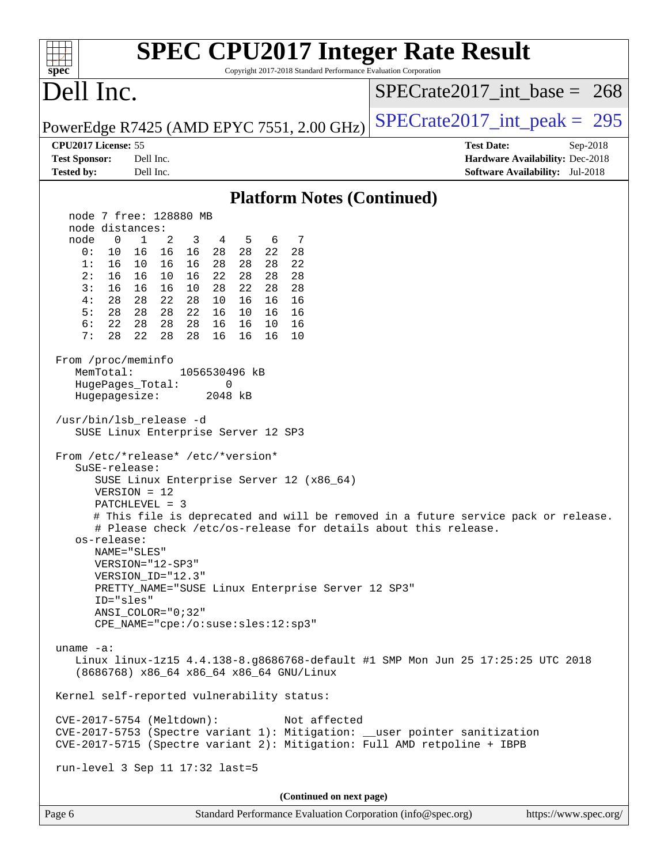| <b>SPEC CPU2017 Integer Rate Result</b><br>Copyright 2017-2018 Standard Performance Evaluation Corporation<br>$spec^*$                                                                                                                                                                           |                                                                                                     |
|--------------------------------------------------------------------------------------------------------------------------------------------------------------------------------------------------------------------------------------------------------------------------------------------------|-----------------------------------------------------------------------------------------------------|
| Dell Inc.                                                                                                                                                                                                                                                                                        | $SPECrate2017$ int base = 268                                                                       |
| PowerEdge R7425 (AMD EPYC 7551, 2.00 GHz)                                                                                                                                                                                                                                                        | $SPECrate2017\_int\_peak = 295$                                                                     |
| CPU2017 License: 55<br><b>Test Sponsor:</b><br>Dell Inc.<br>Dell Inc.<br><b>Tested by:</b>                                                                                                                                                                                                       | <b>Test Date:</b><br>Sep-2018<br>Hardware Availability: Dec-2018<br>Software Availability: Jul-2018 |
| <b>Platform Notes (Continued)</b>                                                                                                                                                                                                                                                                |                                                                                                     |
| node 7 free: 128880 MB                                                                                                                                                                                                                                                                           |                                                                                                     |
| node distances:                                                                                                                                                                                                                                                                                  |                                                                                                     |
| $\mathbf 0$<br>7<br>node<br>1<br>2<br>3<br>5<br>4<br>6                                                                                                                                                                                                                                           |                                                                                                     |
| 16<br>22<br>0:<br>10<br>16<br>16<br>28<br>28<br>28<br>22<br>1:<br>16<br>10<br>16<br>16<br>28<br>28<br>28                                                                                                                                                                                         |                                                                                                     |
| 16<br>22<br>28<br>28<br>28<br>2:<br>16<br>10<br>16                                                                                                                                                                                                                                               |                                                                                                     |
| 3:<br>22<br>16<br>16<br>16<br>10<br>28<br>28<br>28                                                                                                                                                                                                                                               |                                                                                                     |
| 4:<br>28<br>28<br>22<br>28<br>16<br>10<br>16<br>16<br>5:<br>28<br>28<br>22<br>16<br>16<br>28<br>10<br>16                                                                                                                                                                                         |                                                                                                     |
| 6:<br>22<br>28<br>28<br>16<br>28<br>16<br>10<br>16                                                                                                                                                                                                                                               |                                                                                                     |
| 7:<br>28<br>22<br>28<br>28<br>16<br>16<br>16<br>10                                                                                                                                                                                                                                               |                                                                                                     |
| From /proc/meminfo                                                                                                                                                                                                                                                                               |                                                                                                     |
| MemTotal:<br>1056530496 kB                                                                                                                                                                                                                                                                       |                                                                                                     |
| HugePages_Total:<br>0                                                                                                                                                                                                                                                                            |                                                                                                     |
| Hugepagesize:<br>2048 kB                                                                                                                                                                                                                                                                         |                                                                                                     |
| /usr/bin/lsb_release -d<br>SUSE Linux Enterprise Server 12 SP3                                                                                                                                                                                                                                   |                                                                                                     |
| From /etc/*release* /etc/*version*<br>$S$ uSE-release:<br>SUSE Linux Enterprise Server 12 (x86_64)<br>$VERSION = 12$<br>$PATCHLEVEL = 3$<br># This file is deprecated and will be removed in a future service pack or release.<br># Please check /etc/os-release for details about this release. |                                                                                                     |
| os-release:<br>NAME="SLES"<br>VERSION="12-SP3"                                                                                                                                                                                                                                                   |                                                                                                     |
| VERSION ID="12.3"<br>PRETTY_NAME="SUSE Linux Enterprise Server 12 SP3"<br>ID="sles"<br>ANSI COLOR="0;32"                                                                                                                                                                                         |                                                                                                     |
| CPE_NAME="cpe:/o:suse:sles:12:sp3"                                                                                                                                                                                                                                                               |                                                                                                     |
| uname $-a$ :<br>Linux linux-1z15 4.4.138-8.g8686768-default #1 SMP Mon Jun 25 17:25:25 UTC 2018<br>(8686768) x86_64 x86_64 x86_64 GNU/Linux                                                                                                                                                      |                                                                                                     |
| Kernel self-reported vulnerability status:                                                                                                                                                                                                                                                       |                                                                                                     |
| CVE-2017-5754 (Meltdown):<br>Not affected<br>CVE-2017-5753 (Spectre variant 1): Mitigation: __user pointer sanitization<br>CVE-2017-5715 (Spectre variant 2): Mitigation: Full AMD retpoline + IBPB                                                                                              |                                                                                                     |
| run-level 3 Sep 11 17:32 last=5                                                                                                                                                                                                                                                                  |                                                                                                     |
| (Continued on next page)                                                                                                                                                                                                                                                                         |                                                                                                     |
| Page 6<br>Standard Performance Evaluation Corporation (info@spec.org)                                                                                                                                                                                                                            | https://www.spec.org/                                                                               |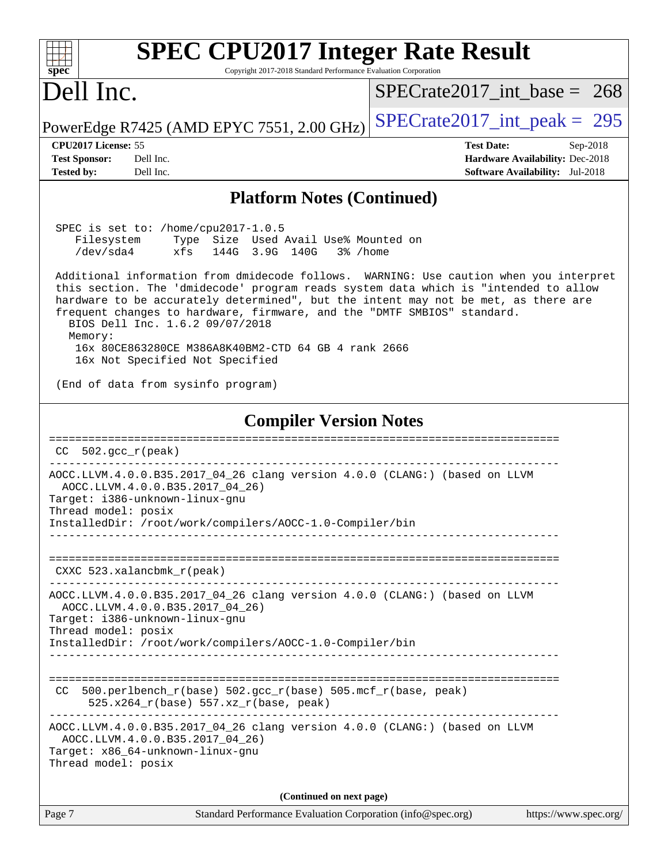| <b>SPEC CPU2017 Integer Rate Result</b><br>Copyright 2017-2018 Standard Performance Evaluation Corporation<br>$spec^*$                                                                                                                                                                                                                                    |                                                                           |  |  |  |  |
|-----------------------------------------------------------------------------------------------------------------------------------------------------------------------------------------------------------------------------------------------------------------------------------------------------------------------------------------------------------|---------------------------------------------------------------------------|--|--|--|--|
| Dell Inc.                                                                                                                                                                                                                                                                                                                                                 | $SPECrate2017\_int\_base = 268$                                           |  |  |  |  |
| PowerEdge R7425 (AMD EPYC 7551, 2.00 GHz)                                                                                                                                                                                                                                                                                                                 | $SPECTate2017\_int\_peak = 295$                                           |  |  |  |  |
| CPU2017 License: 55                                                                                                                                                                                                                                                                                                                                       | <b>Test Date:</b><br>Sep-2018                                             |  |  |  |  |
| <b>Test Sponsor:</b><br>Dell Inc.<br><b>Tested by:</b><br>Dell Inc.                                                                                                                                                                                                                                                                                       | Hardware Availability: Dec-2018<br><b>Software Availability:</b> Jul-2018 |  |  |  |  |
| <b>Platform Notes (Continued)</b>                                                                                                                                                                                                                                                                                                                         |                                                                           |  |  |  |  |
| SPEC is set to: /home/cpu2017-1.0.5<br>Filesystem<br>Type Size Used Avail Use% Mounted on<br>144G 3.9G 140G<br>/dev/sda4<br>xfs<br>3% /home<br>Additional information from dmidecode follows. WARNING: Use caution when you interpret                                                                                                                     |                                                                           |  |  |  |  |
| this section. The 'dmidecode' program reads system data which is "intended to allow<br>hardware to be accurately determined", but the intent may not be met, as there are<br>frequent changes to hardware, firmware, and the "DMTF SMBIOS" standard.<br>BIOS Dell Inc. 1.6.2 09/07/2018<br>Memory:<br>16x 80CE863280CE M386A8K40BM2-CTD 64 GB 4 rank 2666 |                                                                           |  |  |  |  |
| 16x Not Specified Not Specified                                                                                                                                                                                                                                                                                                                           |                                                                           |  |  |  |  |
| (End of data from sysinfo program)                                                                                                                                                                                                                                                                                                                        |                                                                           |  |  |  |  |
| <b>Compiler Version Notes</b>                                                                                                                                                                                                                                                                                                                             |                                                                           |  |  |  |  |
| =====================================<br>$502.\text{gcc\_r}(\text{peak})$<br>CC.                                                                                                                                                                                                                                                                          |                                                                           |  |  |  |  |
| AOCC.LLVM.4.0.0.B35.2017_04_26 clang version 4.0.0 (CLANG:) (based on LLVM<br>AOCC.LLVM.4.0.0.B35.2017_04_26)<br>Target: i386-unknown-linux-gnu<br>Thread model: posix                                                                                                                                                                                    |                                                                           |  |  |  |  |
| InstalledDir: /root/work/compilers/AOCC-1.0-Compiler/bin                                                                                                                                                                                                                                                                                                  |                                                                           |  |  |  |  |
|                                                                                                                                                                                                                                                                                                                                                           |                                                                           |  |  |  |  |
| $CXXC$ 523.xalancbmk $r$ (peak)                                                                                                                                                                                                                                                                                                                           |                                                                           |  |  |  |  |
| AOCC.LLVM.4.0.0.B35.2017_04_26 clang version 4.0.0 (CLANG:) (based on LLVM<br>AOCC.LLVM.4.0.0.B35.2017_04_26)<br>Target: i386-unknown-linux-gnu<br>Thread model: posix                                                                                                                                                                                    |                                                                           |  |  |  |  |
| InstalledDir: /root/work/compilers/AOCC-1.0-Compiler/bin                                                                                                                                                                                                                                                                                                  |                                                                           |  |  |  |  |
| 500.perlbench_r(base) 502.gcc_r(base) 505.mcf_r(base, peak)<br>CC.<br>525.x264_r(base) 557.xz_r(base, peak)                                                                                                                                                                                                                                               |                                                                           |  |  |  |  |
| AOCC.LLVM.4.0.0.B35.2017_04_26 clang version 4.0.0 (CLANG:) (based on LLVM<br>AOCC.LLVM.4.0.0.B35.2017_04_26)<br>Target: x86_64-unknown-linux-gnu<br>Thread model: posix                                                                                                                                                                                  |                                                                           |  |  |  |  |
| (Continued on next page)                                                                                                                                                                                                                                                                                                                                  |                                                                           |  |  |  |  |
| Page 7<br>Standard Performance Evaluation Corporation (info@spec.org)                                                                                                                                                                                                                                                                                     | https://www.spec.org/                                                     |  |  |  |  |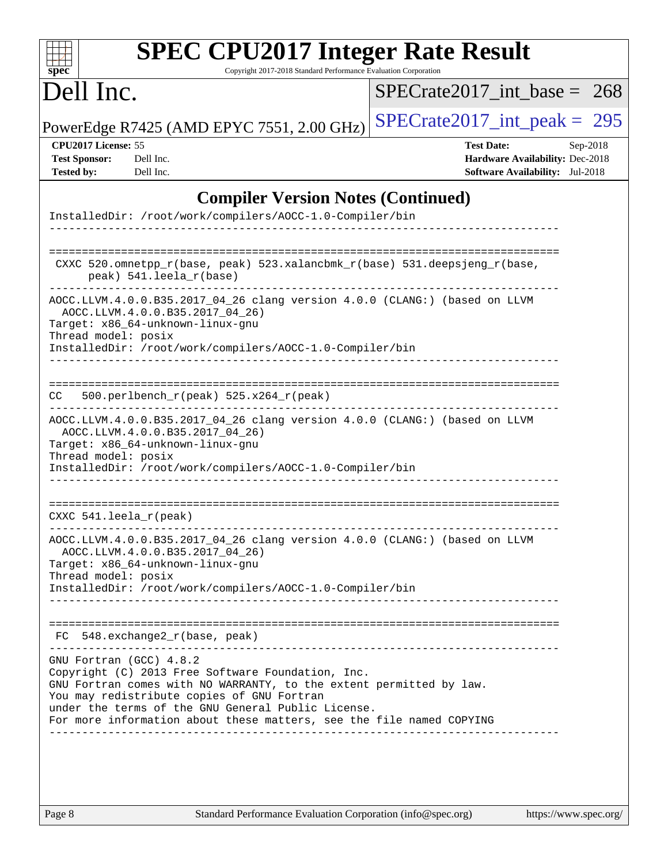| <b>SPEC CPU2017 Integer Rate Result</b>                                                                                                                                  |                                        |
|--------------------------------------------------------------------------------------------------------------------------------------------------------------------------|----------------------------------------|
| Copyright 2017-2018 Standard Performance Evaluation Corporation<br>spec <sup>®</sup>                                                                                     |                                        |
| Dell Inc.                                                                                                                                                                | $SPECrate2017$ int base = 268          |
| PowerEdge R7425 (AMD EPYC 7551, 2.00 GHz)                                                                                                                                | $SPECTate2017\_int\_peak = 295$        |
| CPU <sub>2017</sub> License: 55                                                                                                                                          | <b>Test Date:</b><br>Sep-2018          |
| <b>Test Sponsor:</b><br>Dell Inc.                                                                                                                                        | Hardware Availability: Dec-2018        |
| <b>Tested by:</b><br>Dell Inc.                                                                                                                                           | <b>Software Availability:</b> Jul-2018 |
| <b>Compiler Version Notes (Continued)</b>                                                                                                                                |                                        |
| InstalledDir: /root/work/compilers/AOCC-1.0-Compiler/bin                                                                                                                 |                                        |
|                                                                                                                                                                          |                                        |
| CXXC 520.omnetpp_r(base, peak) 523.xalancbmk_r(base) 531.deepsjeng_r(base,<br>peak) 541.leela_r(base)                                                                    |                                        |
| AOCC.LLVM.4.0.0.B35.2017_04_26 clang version 4.0.0 (CLANG:) (based on LLVM<br>AOCC.LLVM.4.0.0.B35.2017_04_26)<br>Target: x86_64-unknown-linux-gnu<br>Thread model: posix |                                        |
| InstalledDir: /root/work/compilers/AOCC-1.0-Compiler/bin                                                                                                                 |                                        |
|                                                                                                                                                                          |                                        |
| 500.perlbench_r(peak) 525.x264_r(peak)<br>CC.                                                                                                                            |                                        |
| AOCC.LLVM.4.0.0.B35.2017_04_26 clang version 4.0.0 (CLANG:) (based on LLVM<br>AOCC.LLVM.4.0.0.B35.2017_04_26)<br>Target: x86_64-unknown-linux-gnu<br>Thread model: posix |                                        |
| InstalledDir: /root/work/compilers/AOCC-1.0-Compiler/bin                                                                                                                 |                                        |
|                                                                                                                                                                          |                                        |

| CXXC 541.leela r(peak) |
|------------------------|
|                        |

| AOCC.LLVM.4.0.0.B35.2017 04 26 clang version 4.0.0 (CLANG:) (based on LLVM |
|----------------------------------------------------------------------------|
| AOCC.LLVM.4.0.0.B35.2017 04 26)                                            |
| Target: x86 64-unknown-linux-gnu                                           |
| Thread model: posix                                                        |
| InstalledDir: /root/work/compilers/AOCC-1.0-Compiler/bin                   |

============================================================================== FC 548.exchange2\_r(base, peak) ------------------------------------------------------------------------------

------------------------------------------------------------------------------

GNU Fortran (GCC) 4.8.2 Copyright (C) 2013 Free Software Foundation, Inc. GNU Fortran comes with NO WARRANTY, to the extent permitted by law. You may redistribute copies of GNU Fortran under the terms of the GNU General Public License. For more information about these matters, see the file named COPYING ------------------------------------------------------------------------------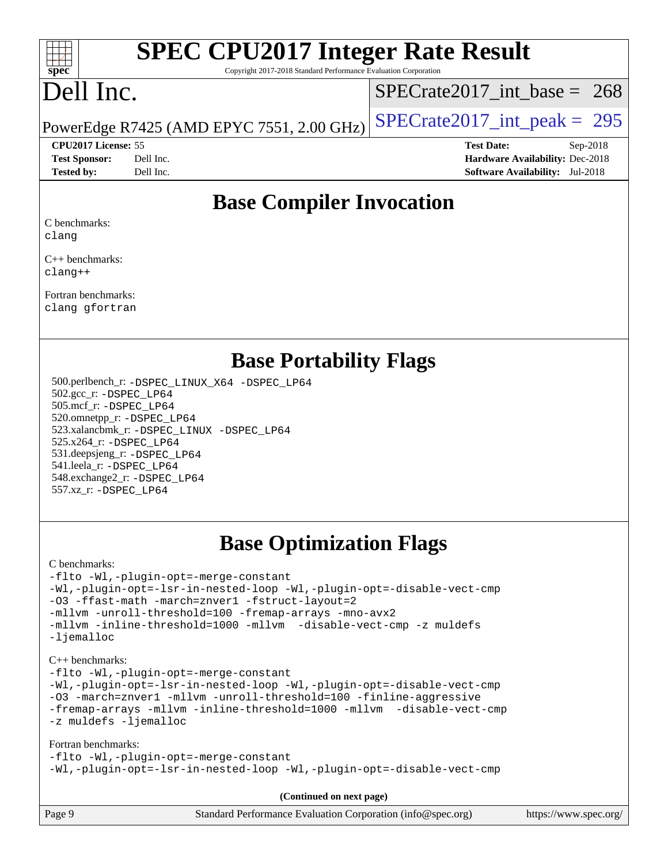### $+\ +$ **[spec](http://www.spec.org/)**

# **[SPEC CPU2017 Integer Rate Result](http://www.spec.org/auto/cpu2017/Docs/result-fields.html#SPECCPU2017IntegerRateResult)**

Copyright 2017-2018 Standard Performance Evaluation Corporation

## Dell Inc.

[SPECrate2017\\_int\\_base =](http://www.spec.org/auto/cpu2017/Docs/result-fields.html#SPECrate2017intbase) 268

PowerEdge R7425 (AMD EPYC 7551, 2.00 GHz)  $\left|$  [SPECrate2017\\_int\\_peak =](http://www.spec.org/auto/cpu2017/Docs/result-fields.html#SPECrate2017intpeak) 295

### **[CPU2017 License:](http://www.spec.org/auto/cpu2017/Docs/result-fields.html#CPU2017License)** 55 **[Test Date:](http://www.spec.org/auto/cpu2017/Docs/result-fields.html#TestDate)** Sep-2018

| <b>Test Sponsor:</b> | Dell Inc. |
|----------------------|-----------|
| <b>Tested by:</b>    | Dell Inc. |

**[Hardware Availability:](http://www.spec.org/auto/cpu2017/Docs/result-fields.html#HardwareAvailability) Dec-2018 [Software Availability:](http://www.spec.org/auto/cpu2017/Docs/result-fields.html#SoftwareAvailability)** Jul-2018

## **[Base Compiler Invocation](http://www.spec.org/auto/cpu2017/Docs/result-fields.html#BaseCompilerInvocation)**

[C benchmarks](http://www.spec.org/auto/cpu2017/Docs/result-fields.html#Cbenchmarks): [clang](http://www.spec.org/cpu2017/results/res2018q4/cpu2017-20181029-09376.flags.html#user_CCbase_Fclang3_a68b77bfed473bd9cdd22529af008e8306c2e3948617c8991604c1a2000ee4a73ef90dd8bc793e105fe4165a625d26dacbda4708d828ad19048918c071b363ec)

[C++ benchmarks:](http://www.spec.org/auto/cpu2017/Docs/result-fields.html#CXXbenchmarks) [clang++](http://www.spec.org/cpu2017/results/res2018q4/cpu2017-20181029-09376.flags.html#user_CXXbase_Fclang3_57a48582e5be507d19b2527b3e7d4f85d9b8669ffc9a8a0dbb9bcf949a918a58bbab411e0c4d14a3922022a3e425a90db94042683824c1806feff4324ca1000d)

[Fortran benchmarks](http://www.spec.org/auto/cpu2017/Docs/result-fields.html#Fortranbenchmarks): [clang](http://www.spec.org/cpu2017/results/res2018q4/cpu2017-20181029-09376.flags.html#user_FCbase_Fclang3_a68b77bfed473bd9cdd22529af008e8306c2e3948617c8991604c1a2000ee4a73ef90dd8bc793e105fe4165a625d26dacbda4708d828ad19048918c071b363ec) [gfortran](http://www.spec.org/cpu2017/results/res2018q4/cpu2017-20181029-09376.flags.html#user_FCbase_aocc-gfortran_128c91a56d61ddb07404721e65b8f9498c31a443dacbd3b7f212891090eca86e2d099b520f75b99e9e8ac4fdec01f4d15f0b65e47123ec4c42b0759045731a1f)

## **[Base Portability Flags](http://www.spec.org/auto/cpu2017/Docs/result-fields.html#BasePortabilityFlags)**

 500.perlbench\_r: [-DSPEC\\_LINUX\\_X64](http://www.spec.org/cpu2017/results/res2018q4/cpu2017-20181029-09376.flags.html#b500.perlbench_r_basePORTABILITY_DSPEC_LINUX_X64) [-DSPEC\\_LP64](http://www.spec.org/cpu2017/results/res2018q4/cpu2017-20181029-09376.flags.html#b500.perlbench_r_baseEXTRA_PORTABILITY_DSPEC_LP64) 502.gcc\_r: [-DSPEC\\_LP64](http://www.spec.org/cpu2017/results/res2018q4/cpu2017-20181029-09376.flags.html#suite_baseEXTRA_PORTABILITY502_gcc_r_DSPEC_LP64) 505.mcf\_r: [-DSPEC\\_LP64](http://www.spec.org/cpu2017/results/res2018q4/cpu2017-20181029-09376.flags.html#suite_baseEXTRA_PORTABILITY505_mcf_r_DSPEC_LP64) 520.omnetpp\_r: [-DSPEC\\_LP64](http://www.spec.org/cpu2017/results/res2018q4/cpu2017-20181029-09376.flags.html#suite_baseEXTRA_PORTABILITY520_omnetpp_r_DSPEC_LP64) 523.xalancbmk\_r: [-DSPEC\\_LINUX](http://www.spec.org/cpu2017/results/res2018q4/cpu2017-20181029-09376.flags.html#b523.xalancbmk_r_basePORTABILITY_DSPEC_LINUX) [-DSPEC\\_LP64](http://www.spec.org/cpu2017/results/res2018q4/cpu2017-20181029-09376.flags.html#suite_baseEXTRA_PORTABILITY523_xalancbmk_r_DSPEC_LP64) 525.x264\_r: [-DSPEC\\_LP64](http://www.spec.org/cpu2017/results/res2018q4/cpu2017-20181029-09376.flags.html#suite_baseEXTRA_PORTABILITY525_x264_r_DSPEC_LP64) 531.deepsjeng\_r: [-DSPEC\\_LP64](http://www.spec.org/cpu2017/results/res2018q4/cpu2017-20181029-09376.flags.html#suite_baseEXTRA_PORTABILITY531_deepsjeng_r_DSPEC_LP64) 541.leela\_r: [-DSPEC\\_LP64](http://www.spec.org/cpu2017/results/res2018q4/cpu2017-20181029-09376.flags.html#suite_baseEXTRA_PORTABILITY541_leela_r_DSPEC_LP64) 548.exchange2\_r: [-DSPEC\\_LP64](http://www.spec.org/cpu2017/results/res2018q4/cpu2017-20181029-09376.flags.html#suite_baseEXTRA_PORTABILITY548_exchange2_r_DSPEC_LP64) 557.xz\_r: [-DSPEC\\_LP64](http://www.spec.org/cpu2017/results/res2018q4/cpu2017-20181029-09376.flags.html#suite_baseEXTRA_PORTABILITY557_xz_r_DSPEC_LP64)

## **[Base Optimization Flags](http://www.spec.org/auto/cpu2017/Docs/result-fields.html#BaseOptimizationFlags)**

### [C benchmarks](http://www.spec.org/auto/cpu2017/Docs/result-fields.html#Cbenchmarks):

[-flto](http://www.spec.org/cpu2017/results/res2018q4/cpu2017-20181029-09376.flags.html#user_CCbase_lto) [-Wl,-plugin-opt=-merge-constant](http://www.spec.org/cpu2017/results/res2018q4/cpu2017-20181029-09376.flags.html#user_CCbase_F-merge-constant_1d79771b5442061d9c8e05556c6b0c655e6c9e66f8c6936b0129d434b6acd2b1cf1b7cd2540d1570ff636111b08a6bc36e2e61fc34531f8ef7c1a34c57be1dbb) [-Wl,-plugin-opt=-lsr-in-nested-loop](http://www.spec.org/cpu2017/results/res2018q4/cpu2017-20181029-09376.flags.html#user_CCbase_lsr-in-nested-loop_1cff93fd95162f5e77640b5271e8bed680fb62b4a8d96fb8ab217ff3244646f1fbb342e31af83c263403bbf5249c7dc7732d5c86c3eab4cc8d32dcb7a6f33ca0) [-Wl,-plugin-opt=-disable-vect-cmp](http://www.spec.org/cpu2017/results/res2018q4/cpu2017-20181029-09376.flags.html#user_CCbase_disable-vect-cmp_1056b9a09b8ddc126e023b5f99ae33179ef568835465af9b7adeacf4b6480ff575c8aee439265bcfbcbf086f33f2fa5cca2bc4cf52b64c0cd2e10f6503cba02d) [-O3](http://www.spec.org/cpu2017/results/res2018q4/cpu2017-20181029-09376.flags.html#user_CCbase_F-O3) [-ffast-math](http://www.spec.org/cpu2017/results/res2018q4/cpu2017-20181029-09376.flags.html#user_CCbase_F-aocc-ffast-math_78dd175de6534c2005829757b9b0f2878e57b067cce6f7c443b2250ac68890960e2e1b320ca04b81ff7c62c6f87870ed05f06baf7875eea2990d38e3b73c71f1) [-march=znver1](http://www.spec.org/cpu2017/results/res2018q4/cpu2017-20181029-09376.flags.html#user_CCbase_F-march) [-fstruct-layout=2](http://www.spec.org/cpu2017/results/res2018q4/cpu2017-20181029-09376.flags.html#user_CCbase_F-fstruct-layout_a05ec02e17cdf7fe0c3950a6b005251b2b1e5e67af2b5298cf72714730c3d59ba290e75546b10aa22dac074c15ceaca36ae22c62cb51bcb2fbdc9dc4e7e222c4) [-mllvm -unroll-threshold=100](http://www.spec.org/cpu2017/results/res2018q4/cpu2017-20181029-09376.flags.html#user_CCbase_F-unroll-threshold_2755d0c78138845d361fa1543e3a063fffa198df9b3edf0cfb856bbc88a81e1769b12ac7a550c5d35197be55360db1a3f95a8d1304df999456cabf5120c45168) [-fremap-arrays](http://www.spec.org/cpu2017/results/res2018q4/cpu2017-20181029-09376.flags.html#user_CCbase_F-fremap-arrays) [-mno-avx2](http://www.spec.org/cpu2017/results/res2018q4/cpu2017-20181029-09376.flags.html#user_CCbase_F-mno-avx2) [-mllvm -inline-threshold=1000](http://www.spec.org/cpu2017/results/res2018q4/cpu2017-20181029-09376.flags.html#user_CCbase_inline-threshold_b7832241b0a6397e4ecdbaf0eb7defdc10f885c2a282fa3240fdc99844d543fda39cf8a4a9dccf68cf19b5438ac3b455264f478df15da0f4988afa40d8243bab) [-mllvm -disable-vect-cmp](http://www.spec.org/cpu2017/results/res2018q4/cpu2017-20181029-09376.flags.html#user_CCbase_disable-vect-cmp_d995c9eb800469498c6893dc847c54c903d59847b18cb2ac22011b9af7010c96d2d48d3c6b41246fe86945001509aa4dc528afb61cb238fd3b256a31781ea0cf) [-z muldefs](http://www.spec.org/cpu2017/results/res2018q4/cpu2017-20181029-09376.flags.html#user_CCbase_F-z-muldefs) [-ljemalloc](http://www.spec.org/cpu2017/results/res2018q4/cpu2017-20181029-09376.flags.html#user_CCbase_jemalloc-lib_d1249b907c500fa1c0672f44f562e3d0f79738ae9e3c4a9c376d49f265a04b9c99b167ecedbf6711b3085be911c67ff61f150a17b3472be731631ba4d0471706)

### [C++ benchmarks:](http://www.spec.org/auto/cpu2017/Docs/result-fields.html#CXXbenchmarks)

[-flto](http://www.spec.org/cpu2017/results/res2018q4/cpu2017-20181029-09376.flags.html#user_CXXbase_lto) [-Wl,-plugin-opt=-merge-constant](http://www.spec.org/cpu2017/results/res2018q4/cpu2017-20181029-09376.flags.html#user_CXXbase_F-merge-constant_1d79771b5442061d9c8e05556c6b0c655e6c9e66f8c6936b0129d434b6acd2b1cf1b7cd2540d1570ff636111b08a6bc36e2e61fc34531f8ef7c1a34c57be1dbb) [-Wl,-plugin-opt=-lsr-in-nested-loop](http://www.spec.org/cpu2017/results/res2018q4/cpu2017-20181029-09376.flags.html#user_CXXbase_lsr-in-nested-loop_1cff93fd95162f5e77640b5271e8bed680fb62b4a8d96fb8ab217ff3244646f1fbb342e31af83c263403bbf5249c7dc7732d5c86c3eab4cc8d32dcb7a6f33ca0) [-Wl,-plugin-opt=-disable-vect-cmp](http://www.spec.org/cpu2017/results/res2018q4/cpu2017-20181029-09376.flags.html#user_CXXbase_disable-vect-cmp_1056b9a09b8ddc126e023b5f99ae33179ef568835465af9b7adeacf4b6480ff575c8aee439265bcfbcbf086f33f2fa5cca2bc4cf52b64c0cd2e10f6503cba02d) [-O3](http://www.spec.org/cpu2017/results/res2018q4/cpu2017-20181029-09376.flags.html#user_CXXbase_F-O3) [-march=znver1](http://www.spec.org/cpu2017/results/res2018q4/cpu2017-20181029-09376.flags.html#user_CXXbase_F-march) [-mllvm -unroll-threshold=100](http://www.spec.org/cpu2017/results/res2018q4/cpu2017-20181029-09376.flags.html#user_CXXbase_F-unroll-threshold_2755d0c78138845d361fa1543e3a063fffa198df9b3edf0cfb856bbc88a81e1769b12ac7a550c5d35197be55360db1a3f95a8d1304df999456cabf5120c45168) [-finline-aggressive](http://www.spec.org/cpu2017/results/res2018q4/cpu2017-20181029-09376.flags.html#user_CXXbase_F-finline-aggressive) [-fremap-arrays](http://www.spec.org/cpu2017/results/res2018q4/cpu2017-20181029-09376.flags.html#user_CXXbase_F-fremap-arrays) [-mllvm -inline-threshold=1000](http://www.spec.org/cpu2017/results/res2018q4/cpu2017-20181029-09376.flags.html#user_CXXbase_inline-threshold_b7832241b0a6397e4ecdbaf0eb7defdc10f885c2a282fa3240fdc99844d543fda39cf8a4a9dccf68cf19b5438ac3b455264f478df15da0f4988afa40d8243bab) [-mllvm -disable-vect-cmp](http://www.spec.org/cpu2017/results/res2018q4/cpu2017-20181029-09376.flags.html#user_CXXbase_disable-vect-cmp_d995c9eb800469498c6893dc847c54c903d59847b18cb2ac22011b9af7010c96d2d48d3c6b41246fe86945001509aa4dc528afb61cb238fd3b256a31781ea0cf) [-z muldefs](http://www.spec.org/cpu2017/results/res2018q4/cpu2017-20181029-09376.flags.html#user_CXXbase_F-z-muldefs) [-ljemalloc](http://www.spec.org/cpu2017/results/res2018q4/cpu2017-20181029-09376.flags.html#user_CXXbase_jemalloc-lib_d1249b907c500fa1c0672f44f562e3d0f79738ae9e3c4a9c376d49f265a04b9c99b167ecedbf6711b3085be911c67ff61f150a17b3472be731631ba4d0471706)

[Fortran benchmarks](http://www.spec.org/auto/cpu2017/Docs/result-fields.html#Fortranbenchmarks):

[-flto](http://www.spec.org/cpu2017/results/res2018q4/cpu2017-20181029-09376.flags.html#user_FCbase_lto) [-Wl,-plugin-opt=-merge-constant](http://www.spec.org/cpu2017/results/res2018q4/cpu2017-20181029-09376.flags.html#user_FCbase_F-merge-constant_1d79771b5442061d9c8e05556c6b0c655e6c9e66f8c6936b0129d434b6acd2b1cf1b7cd2540d1570ff636111b08a6bc36e2e61fc34531f8ef7c1a34c57be1dbb) [-Wl,-plugin-opt=-lsr-in-nested-loop](http://www.spec.org/cpu2017/results/res2018q4/cpu2017-20181029-09376.flags.html#user_FCbase_lsr-in-nested-loop_1cff93fd95162f5e77640b5271e8bed680fb62b4a8d96fb8ab217ff3244646f1fbb342e31af83c263403bbf5249c7dc7732d5c86c3eab4cc8d32dcb7a6f33ca0) [-Wl,-plugin-opt=-disable-vect-cmp](http://www.spec.org/cpu2017/results/res2018q4/cpu2017-20181029-09376.flags.html#user_FCbase_disable-vect-cmp_1056b9a09b8ddc126e023b5f99ae33179ef568835465af9b7adeacf4b6480ff575c8aee439265bcfbcbf086f33f2fa5cca2bc4cf52b64c0cd2e10f6503cba02d)

**(Continued on next page)**

| Page 9 | Standard Performance Evaluation Corporation (info@spec.org) | https://www.spec.org/ |
|--------|-------------------------------------------------------------|-----------------------|
|--------|-------------------------------------------------------------|-----------------------|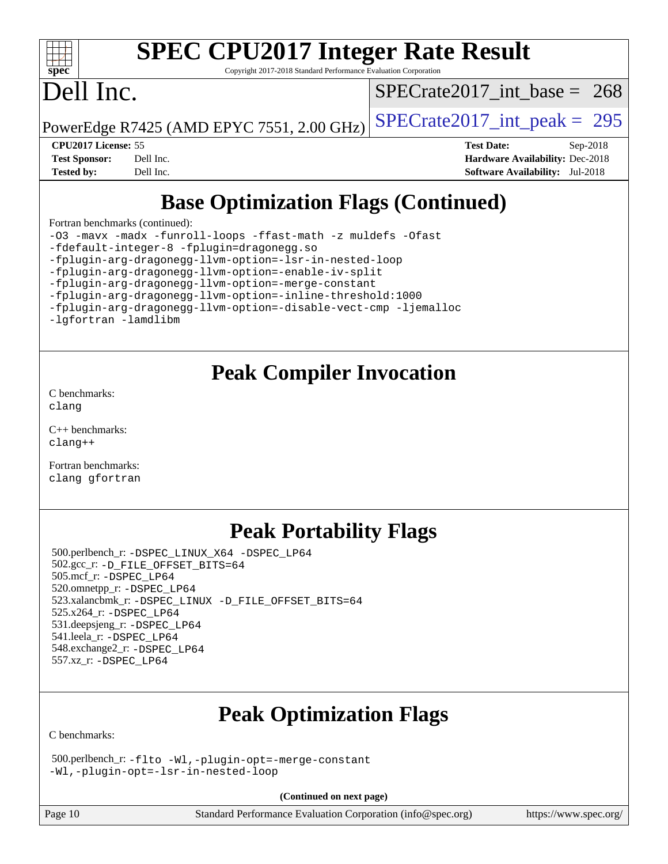

# **[SPEC CPU2017 Integer Rate Result](http://www.spec.org/auto/cpu2017/Docs/result-fields.html#SPECCPU2017IntegerRateResult)**

Copyright 2017-2018 Standard Performance Evaluation Corporation

## Dell Inc.

[SPECrate2017\\_int\\_base =](http://www.spec.org/auto/cpu2017/Docs/result-fields.html#SPECrate2017intbase) 268

PowerEdge R7425 (AMD EPYC 7551, 2.00 GHz)  $\left|$  [SPECrate2017\\_int\\_peak =](http://www.spec.org/auto/cpu2017/Docs/result-fields.html#SPECrate2017intpeak) 295

**[CPU2017 License:](http://www.spec.org/auto/cpu2017/Docs/result-fields.html#CPU2017License)** 55 **[Test Date:](http://www.spec.org/auto/cpu2017/Docs/result-fields.html#TestDate)** Sep-2018 **[Test Sponsor:](http://www.spec.org/auto/cpu2017/Docs/result-fields.html#TestSponsor)** Dell Inc. **[Hardware Availability:](http://www.spec.org/auto/cpu2017/Docs/result-fields.html#HardwareAvailability)** Dec-2018 **[Tested by:](http://www.spec.org/auto/cpu2017/Docs/result-fields.html#Testedby)** Dell Inc. **[Software Availability:](http://www.spec.org/auto/cpu2017/Docs/result-fields.html#SoftwareAvailability)** Jul-2018

## **[Base Optimization Flags \(Continued\)](http://www.spec.org/auto/cpu2017/Docs/result-fields.html#BaseOptimizationFlags)**

[Fortran benchmarks](http://www.spec.org/auto/cpu2017/Docs/result-fields.html#Fortranbenchmarks) (continued):

[-O3](http://www.spec.org/cpu2017/results/res2018q4/cpu2017-20181029-09376.flags.html#user_FCbase_F-O3) [-mavx](http://www.spec.org/cpu2017/results/res2018q4/cpu2017-20181029-09376.flags.html#user_FCbase_F-mavx) [-madx](http://www.spec.org/cpu2017/results/res2018q4/cpu2017-20181029-09376.flags.html#user_FCbase_F-madx) [-funroll-loops](http://www.spec.org/cpu2017/results/res2018q4/cpu2017-20181029-09376.flags.html#user_FCbase_aocc-funroll-loops) [-ffast-math](http://www.spec.org/cpu2017/results/res2018q4/cpu2017-20181029-09376.flags.html#user_FCbase_F-aocc-ffast-math_78dd175de6534c2005829757b9b0f2878e57b067cce6f7c443b2250ac68890960e2e1b320ca04b81ff7c62c6f87870ed05f06baf7875eea2990d38e3b73c71f1) [-z muldefs](http://www.spec.org/cpu2017/results/res2018q4/cpu2017-20181029-09376.flags.html#user_FCbase_F-z-muldefs) [-Ofast](http://www.spec.org/cpu2017/results/res2018q4/cpu2017-20181029-09376.flags.html#user_FCbase_F-aocc-Ofast) [-fdefault-integer-8](http://www.spec.org/cpu2017/results/res2018q4/cpu2017-20181029-09376.flags.html#user_FCbase_F-fdefault-integer-8) [-fplugin=dragonegg.so](http://www.spec.org/cpu2017/results/res2018q4/cpu2017-20181029-09376.flags.html#user_FCbase_F-fpluginDragonEgg) [-fplugin-arg-dragonegg-llvm-option=-lsr-in-nested-loop](http://www.spec.org/cpu2017/results/res2018q4/cpu2017-20181029-09376.flags.html#user_FCbase_lsr-in-nested-loop_9d50e9a5bf5413862ef575cb99c4306f28354df375c817cbae12d1ca2160727959926001e898e7562b79430b7fa444a8df2254024818720af45ad007761bc4a7) [-fplugin-arg-dragonegg-llvm-option=-enable-iv-split](http://www.spec.org/cpu2017/results/res2018q4/cpu2017-20181029-09376.flags.html#user_FCbase_F-enable-iv-split_5dd88da1d43c18bd75cbdf250cf834c2151012bf076ae854827e69c5249e03739713e176d494b70eccfdbb757c13240bb0c8f0dd1fe462f4542b1525161a1ac7) [-fplugin-arg-dragonegg-llvm-option=-merge-constant](http://www.spec.org/cpu2017/results/res2018q4/cpu2017-20181029-09376.flags.html#user_FCbase_F-merge-constant_37fd66d07a4fbae8f1b816e843c3ed1ebaa48f794b65ea8be746a1880566a3d23eba4a3c37b5c024650311adcf9247c62af28144803b3729b14be14423fa5142) [-fplugin-arg-dragonegg-llvm-option=-inline-threshold:1000](http://www.spec.org/cpu2017/results/res2018q4/cpu2017-20181029-09376.flags.html#user_FCbase_inline-threshold_eec74946bf81becf626625ea3f1757217b7f1e09b0c056df6f4a6dc542562255a9e8a6d36c454b3b2ed3e147f40cf87a14a68e01ad47a8b90b49f15f387f919f) [-fplugin-arg-dragonegg-llvm-option=-disable-vect-cmp](http://www.spec.org/cpu2017/results/res2018q4/cpu2017-20181029-09376.flags.html#user_FCbase_disable-vect-cmp_d119dd6f96524d64dc477d5e6a72268aebe046b42f767098038bf7530fc0cc546dd329b2376104fde185baca14f7365ef86ccd3ff602b57a7839de005478f594) [-ljemalloc](http://www.spec.org/cpu2017/results/res2018q4/cpu2017-20181029-09376.flags.html#user_FCbase_jemalloc-lib_d1249b907c500fa1c0672f44f562e3d0f79738ae9e3c4a9c376d49f265a04b9c99b167ecedbf6711b3085be911c67ff61f150a17b3472be731631ba4d0471706) [-lgfortran](http://www.spec.org/cpu2017/results/res2018q4/cpu2017-20181029-09376.flags.html#user_FCbase_F-lgfortran) [-lamdlibm](http://www.spec.org/cpu2017/results/res2018q4/cpu2017-20181029-09376.flags.html#user_FCbase_F-lamdlibm)

## **[Peak Compiler Invocation](http://www.spec.org/auto/cpu2017/Docs/result-fields.html#PeakCompilerInvocation)**

[C benchmarks](http://www.spec.org/auto/cpu2017/Docs/result-fields.html#Cbenchmarks): [clang](http://www.spec.org/cpu2017/results/res2018q4/cpu2017-20181029-09376.flags.html#user_CCpeak_Fclang3_a68b77bfed473bd9cdd22529af008e8306c2e3948617c8991604c1a2000ee4a73ef90dd8bc793e105fe4165a625d26dacbda4708d828ad19048918c071b363ec)

[C++ benchmarks:](http://www.spec.org/auto/cpu2017/Docs/result-fields.html#CXXbenchmarks) [clang++](http://www.spec.org/cpu2017/results/res2018q4/cpu2017-20181029-09376.flags.html#user_CXXpeak_Fclang3_57a48582e5be507d19b2527b3e7d4f85d9b8669ffc9a8a0dbb9bcf949a918a58bbab411e0c4d14a3922022a3e425a90db94042683824c1806feff4324ca1000d)

[Fortran benchmarks](http://www.spec.org/auto/cpu2017/Docs/result-fields.html#Fortranbenchmarks): [clang](http://www.spec.org/cpu2017/results/res2018q4/cpu2017-20181029-09376.flags.html#user_FCpeak_Fclang3_a68b77bfed473bd9cdd22529af008e8306c2e3948617c8991604c1a2000ee4a73ef90dd8bc793e105fe4165a625d26dacbda4708d828ad19048918c071b363ec) [gfortran](http://www.spec.org/cpu2017/results/res2018q4/cpu2017-20181029-09376.flags.html#user_FCpeak_aocc-gfortran_128c91a56d61ddb07404721e65b8f9498c31a443dacbd3b7f212891090eca86e2d099b520f75b99e9e8ac4fdec01f4d15f0b65e47123ec4c42b0759045731a1f)

## **[Peak Portability Flags](http://www.spec.org/auto/cpu2017/Docs/result-fields.html#PeakPortabilityFlags)**

 500.perlbench\_r: [-DSPEC\\_LINUX\\_X64](http://www.spec.org/cpu2017/results/res2018q4/cpu2017-20181029-09376.flags.html#b500.perlbench_r_peakPORTABILITY_DSPEC_LINUX_X64) [-DSPEC\\_LP64](http://www.spec.org/cpu2017/results/res2018q4/cpu2017-20181029-09376.flags.html#b500.perlbench_r_peakEXTRA_PORTABILITY_DSPEC_LP64) 502.gcc\_r: [-D\\_FILE\\_OFFSET\\_BITS=64](http://www.spec.org/cpu2017/results/res2018q4/cpu2017-20181029-09376.flags.html#user_peakEXTRA_PORTABILITY502_gcc_r_F-D_FILE_OFFSET_BITS_5ae949a99b284ddf4e95728d47cb0843d81b2eb0e18bdfe74bbf0f61d0b064f4bda2f10ea5eb90e1dcab0e84dbc592acfc5018bc955c18609f94ddb8d550002c) 505.mcf\_r: [-DSPEC\\_LP64](http://www.spec.org/cpu2017/results/res2018q4/cpu2017-20181029-09376.flags.html#suite_peakEXTRA_PORTABILITY505_mcf_r_DSPEC_LP64) 520.omnetpp\_r: [-DSPEC\\_LP64](http://www.spec.org/cpu2017/results/res2018q4/cpu2017-20181029-09376.flags.html#suite_peakEXTRA_PORTABILITY520_omnetpp_r_DSPEC_LP64) 523.xalancbmk\_r: [-DSPEC\\_LINUX](http://www.spec.org/cpu2017/results/res2018q4/cpu2017-20181029-09376.flags.html#b523.xalancbmk_r_peakPORTABILITY_DSPEC_LINUX) [-D\\_FILE\\_OFFSET\\_BITS=64](http://www.spec.org/cpu2017/results/res2018q4/cpu2017-20181029-09376.flags.html#user_peakEXTRA_PORTABILITY523_xalancbmk_r_F-D_FILE_OFFSET_BITS_5ae949a99b284ddf4e95728d47cb0843d81b2eb0e18bdfe74bbf0f61d0b064f4bda2f10ea5eb90e1dcab0e84dbc592acfc5018bc955c18609f94ddb8d550002c) 525.x264\_r: [-DSPEC\\_LP64](http://www.spec.org/cpu2017/results/res2018q4/cpu2017-20181029-09376.flags.html#suite_peakEXTRA_PORTABILITY525_x264_r_DSPEC_LP64) 531.deepsjeng\_r: [-DSPEC\\_LP64](http://www.spec.org/cpu2017/results/res2018q4/cpu2017-20181029-09376.flags.html#suite_peakEXTRA_PORTABILITY531_deepsjeng_r_DSPEC_LP64) 541.leela\_r: [-DSPEC\\_LP64](http://www.spec.org/cpu2017/results/res2018q4/cpu2017-20181029-09376.flags.html#suite_peakEXTRA_PORTABILITY541_leela_r_DSPEC_LP64) 548.exchange2\_r: [-DSPEC\\_LP64](http://www.spec.org/cpu2017/results/res2018q4/cpu2017-20181029-09376.flags.html#suite_peakEXTRA_PORTABILITY548_exchange2_r_DSPEC_LP64) 557.xz\_r: [-DSPEC\\_LP64](http://www.spec.org/cpu2017/results/res2018q4/cpu2017-20181029-09376.flags.html#suite_peakEXTRA_PORTABILITY557_xz_r_DSPEC_LP64)

## **[Peak Optimization Flags](http://www.spec.org/auto/cpu2017/Docs/result-fields.html#PeakOptimizationFlags)**

[C benchmarks](http://www.spec.org/auto/cpu2017/Docs/result-fields.html#Cbenchmarks):

 500.perlbench\_r: [-flto](http://www.spec.org/cpu2017/results/res2018q4/cpu2017-20181029-09376.flags.html#user_peakCOPTIMIZEEXTRA_LDFLAGS500_perlbench_r_lto) [-Wl,-plugin-opt=-merge-constant](http://www.spec.org/cpu2017/results/res2018q4/cpu2017-20181029-09376.flags.html#user_peakEXTRA_LDFLAGS500_perlbench_r_F-merge-constant_1d79771b5442061d9c8e05556c6b0c655e6c9e66f8c6936b0129d434b6acd2b1cf1b7cd2540d1570ff636111b08a6bc36e2e61fc34531f8ef7c1a34c57be1dbb) [-Wl,-plugin-opt=-lsr-in-nested-loop](http://www.spec.org/cpu2017/results/res2018q4/cpu2017-20181029-09376.flags.html#user_peakEXTRA_LDFLAGS500_perlbench_r_lsr-in-nested-loop_1cff93fd95162f5e77640b5271e8bed680fb62b4a8d96fb8ab217ff3244646f1fbb342e31af83c263403bbf5249c7dc7732d5c86c3eab4cc8d32dcb7a6f33ca0)

**(Continued on next page)**

Page 10 Standard Performance Evaluation Corporation [\(info@spec.org\)](mailto:info@spec.org) <https://www.spec.org/>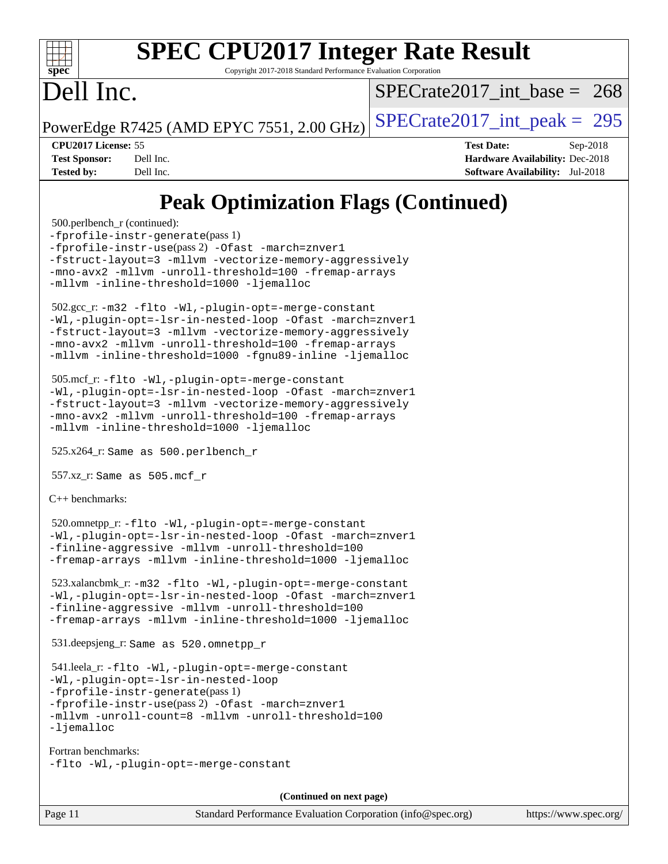

# **[SPEC CPU2017 Integer Rate Result](http://www.spec.org/auto/cpu2017/Docs/result-fields.html#SPECCPU2017IntegerRateResult)**

Copyright 2017-2018 Standard Performance Evaluation Corporation

## Dell Inc.

[SPECrate2017\\_int\\_base =](http://www.spec.org/auto/cpu2017/Docs/result-fields.html#SPECrate2017intbase) 268

PowerEdge R7425 (AMD EPYC 7551, 2.00 GHz)  $\text{SPECrate}2017\_int\_peak = 295$ 

**[CPU2017 License:](http://www.spec.org/auto/cpu2017/Docs/result-fields.html#CPU2017License)** 55 **[Test Date:](http://www.spec.org/auto/cpu2017/Docs/result-fields.html#TestDate)** Sep-2018 **[Test Sponsor:](http://www.spec.org/auto/cpu2017/Docs/result-fields.html#TestSponsor)** Dell Inc. **[Hardware Availability:](http://www.spec.org/auto/cpu2017/Docs/result-fields.html#HardwareAvailability)** Dec-2018 **[Tested by:](http://www.spec.org/auto/cpu2017/Docs/result-fields.html#Testedby)** Dell Inc. **[Software Availability:](http://www.spec.org/auto/cpu2017/Docs/result-fields.html#SoftwareAvailability)** Jul-2018

## **[Peak Optimization Flags \(Continued\)](http://www.spec.org/auto/cpu2017/Docs/result-fields.html#PeakOptimizationFlags)**

 500.perlbench\_r (continued): [-fprofile-instr-generate](http://www.spec.org/cpu2017/results/res2018q4/cpu2017-20181029-09376.flags.html#user_peakPASS1_CFLAGSPASS1_LDFLAGS500_perlbench_r_F-fprofile-instr-generate)(pass 1) [-fprofile-instr-use](http://www.spec.org/cpu2017/results/res2018q4/cpu2017-20181029-09376.flags.html#user_peakPASS2_CFLAGSPASS2_LDFLAGS500_perlbench_r_F-fprofile-instr-use)(pass 2) [-Ofast](http://www.spec.org/cpu2017/results/res2018q4/cpu2017-20181029-09376.flags.html#user_peakCOPTIMIZE500_perlbench_r_F-aocc-Ofast) [-march=znver1](http://www.spec.org/cpu2017/results/res2018q4/cpu2017-20181029-09376.flags.html#user_peakCOPTIMIZE500_perlbench_r_F-march) [-fstruct-layout=3](http://www.spec.org/cpu2017/results/res2018q4/cpu2017-20181029-09376.flags.html#user_peakCOPTIMIZE500_perlbench_r_F-fstruct-layout) [-mllvm -vectorize-memory-aggressively](http://www.spec.org/cpu2017/results/res2018q4/cpu2017-20181029-09376.flags.html#user_peakCOPTIMIZE500_perlbench_r_vectorize-memory-aggressively_24b72a4417f50ade9e698c5b3bed87ab456cc6fc8ec6439480cb84f36ad6a3975af6e87206dea402e3871a1464ff3d60bc798e0250f330177ba629a260df1857) [-mno-avx2](http://www.spec.org/cpu2017/results/res2018q4/cpu2017-20181029-09376.flags.html#user_peakCOPTIMIZE500_perlbench_r_F-mno-avx2) [-mllvm -unroll-threshold=100](http://www.spec.org/cpu2017/results/res2018q4/cpu2017-20181029-09376.flags.html#user_peakCOPTIMIZE500_perlbench_r_F-unroll-threshold_2755d0c78138845d361fa1543e3a063fffa198df9b3edf0cfb856bbc88a81e1769b12ac7a550c5d35197be55360db1a3f95a8d1304df999456cabf5120c45168) [-fremap-arrays](http://www.spec.org/cpu2017/results/res2018q4/cpu2017-20181029-09376.flags.html#user_peakCOPTIMIZE500_perlbench_r_F-fremap-arrays) [-mllvm -inline-threshold=1000](http://www.spec.org/cpu2017/results/res2018q4/cpu2017-20181029-09376.flags.html#user_peakCOPTIMIZE500_perlbench_r_inline-threshold_b7832241b0a6397e4ecdbaf0eb7defdc10f885c2a282fa3240fdc99844d543fda39cf8a4a9dccf68cf19b5438ac3b455264f478df15da0f4988afa40d8243bab) [-ljemalloc](http://www.spec.org/cpu2017/results/res2018q4/cpu2017-20181029-09376.flags.html#user_peakEXTRA_LIBS500_perlbench_r_jemalloc-lib_d1249b907c500fa1c0672f44f562e3d0f79738ae9e3c4a9c376d49f265a04b9c99b167ecedbf6711b3085be911c67ff61f150a17b3472be731631ba4d0471706) 502.gcc\_r: [-m32](http://www.spec.org/cpu2017/results/res2018q4/cpu2017-20181029-09376.flags.html#user_peakCCLD502_gcc_r_F-m32) [-flto](http://www.spec.org/cpu2017/results/res2018q4/cpu2017-20181029-09376.flags.html#user_peakCOPTIMIZEEXTRA_LDFLAGS502_gcc_r_lto) [-Wl,-plugin-opt=-merge-constant](http://www.spec.org/cpu2017/results/res2018q4/cpu2017-20181029-09376.flags.html#user_peakEXTRA_LDFLAGS502_gcc_r_F-merge-constant_1d79771b5442061d9c8e05556c6b0c655e6c9e66f8c6936b0129d434b6acd2b1cf1b7cd2540d1570ff636111b08a6bc36e2e61fc34531f8ef7c1a34c57be1dbb) [-Wl,-plugin-opt=-lsr-in-nested-loop](http://www.spec.org/cpu2017/results/res2018q4/cpu2017-20181029-09376.flags.html#user_peakEXTRA_LDFLAGS502_gcc_r_lsr-in-nested-loop_1cff93fd95162f5e77640b5271e8bed680fb62b4a8d96fb8ab217ff3244646f1fbb342e31af83c263403bbf5249c7dc7732d5c86c3eab4cc8d32dcb7a6f33ca0) [-Ofast](http://www.spec.org/cpu2017/results/res2018q4/cpu2017-20181029-09376.flags.html#user_peakCOPTIMIZE502_gcc_r_F-aocc-Ofast) [-march=znver1](http://www.spec.org/cpu2017/results/res2018q4/cpu2017-20181029-09376.flags.html#user_peakCOPTIMIZE502_gcc_r_F-march) [-fstruct-layout=3](http://www.spec.org/cpu2017/results/res2018q4/cpu2017-20181029-09376.flags.html#user_peakCOPTIMIZE502_gcc_r_F-fstruct-layout) [-mllvm -vectorize-memory-aggressively](http://www.spec.org/cpu2017/results/res2018q4/cpu2017-20181029-09376.flags.html#user_peakCOPTIMIZE502_gcc_r_vectorize-memory-aggressively_24b72a4417f50ade9e698c5b3bed87ab456cc6fc8ec6439480cb84f36ad6a3975af6e87206dea402e3871a1464ff3d60bc798e0250f330177ba629a260df1857) [-mno-avx2](http://www.spec.org/cpu2017/results/res2018q4/cpu2017-20181029-09376.flags.html#user_peakCOPTIMIZE502_gcc_r_F-mno-avx2) [-mllvm -unroll-threshold=100](http://www.spec.org/cpu2017/results/res2018q4/cpu2017-20181029-09376.flags.html#user_peakCOPTIMIZE502_gcc_r_F-unroll-threshold_2755d0c78138845d361fa1543e3a063fffa198df9b3edf0cfb856bbc88a81e1769b12ac7a550c5d35197be55360db1a3f95a8d1304df999456cabf5120c45168) [-fremap-arrays](http://www.spec.org/cpu2017/results/res2018q4/cpu2017-20181029-09376.flags.html#user_peakCOPTIMIZE502_gcc_r_F-fremap-arrays) [-mllvm -inline-threshold=1000](http://www.spec.org/cpu2017/results/res2018q4/cpu2017-20181029-09376.flags.html#user_peakCOPTIMIZE502_gcc_r_inline-threshold_b7832241b0a6397e4ecdbaf0eb7defdc10f885c2a282fa3240fdc99844d543fda39cf8a4a9dccf68cf19b5438ac3b455264f478df15da0f4988afa40d8243bab) [-fgnu89-inline](http://www.spec.org/cpu2017/results/res2018q4/cpu2017-20181029-09376.flags.html#user_peakEXTRA_COPTIMIZE502_gcc_r_F-fgnu89-inline) [-ljemalloc](http://www.spec.org/cpu2017/results/res2018q4/cpu2017-20181029-09376.flags.html#user_peakEXTRA_LIBS502_gcc_r_jemalloc-lib_d1249b907c500fa1c0672f44f562e3d0f79738ae9e3c4a9c376d49f265a04b9c99b167ecedbf6711b3085be911c67ff61f150a17b3472be731631ba4d0471706) 505.mcf\_r: [-flto](http://www.spec.org/cpu2017/results/res2018q4/cpu2017-20181029-09376.flags.html#user_peakCOPTIMIZEEXTRA_LDFLAGS505_mcf_r_lto) [-Wl,-plugin-opt=-merge-constant](http://www.spec.org/cpu2017/results/res2018q4/cpu2017-20181029-09376.flags.html#user_peakEXTRA_LDFLAGS505_mcf_r_F-merge-constant_1d79771b5442061d9c8e05556c6b0c655e6c9e66f8c6936b0129d434b6acd2b1cf1b7cd2540d1570ff636111b08a6bc36e2e61fc34531f8ef7c1a34c57be1dbb) [-Wl,-plugin-opt=-lsr-in-nested-loop](http://www.spec.org/cpu2017/results/res2018q4/cpu2017-20181029-09376.flags.html#user_peakEXTRA_LDFLAGS505_mcf_r_lsr-in-nested-loop_1cff93fd95162f5e77640b5271e8bed680fb62b4a8d96fb8ab217ff3244646f1fbb342e31af83c263403bbf5249c7dc7732d5c86c3eab4cc8d32dcb7a6f33ca0) [-Ofast](http://www.spec.org/cpu2017/results/res2018q4/cpu2017-20181029-09376.flags.html#user_peakCOPTIMIZE505_mcf_r_F-aocc-Ofast) [-march=znver1](http://www.spec.org/cpu2017/results/res2018q4/cpu2017-20181029-09376.flags.html#user_peakCOPTIMIZE505_mcf_r_F-march) [-fstruct-layout=3](http://www.spec.org/cpu2017/results/res2018q4/cpu2017-20181029-09376.flags.html#user_peakCOPTIMIZE505_mcf_r_F-fstruct-layout) [-mllvm -vectorize-memory-aggressively](http://www.spec.org/cpu2017/results/res2018q4/cpu2017-20181029-09376.flags.html#user_peakCOPTIMIZE505_mcf_r_vectorize-memory-aggressively_24b72a4417f50ade9e698c5b3bed87ab456cc6fc8ec6439480cb84f36ad6a3975af6e87206dea402e3871a1464ff3d60bc798e0250f330177ba629a260df1857) [-mno-avx2](http://www.spec.org/cpu2017/results/res2018q4/cpu2017-20181029-09376.flags.html#user_peakCOPTIMIZE505_mcf_r_F-mno-avx2) [-mllvm -unroll-threshold=100](http://www.spec.org/cpu2017/results/res2018q4/cpu2017-20181029-09376.flags.html#user_peakCOPTIMIZE505_mcf_r_F-unroll-threshold_2755d0c78138845d361fa1543e3a063fffa198df9b3edf0cfb856bbc88a81e1769b12ac7a550c5d35197be55360db1a3f95a8d1304df999456cabf5120c45168) [-fremap-arrays](http://www.spec.org/cpu2017/results/res2018q4/cpu2017-20181029-09376.flags.html#user_peakCOPTIMIZE505_mcf_r_F-fremap-arrays) [-mllvm -inline-threshold=1000](http://www.spec.org/cpu2017/results/res2018q4/cpu2017-20181029-09376.flags.html#user_peakCOPTIMIZE505_mcf_r_inline-threshold_b7832241b0a6397e4ecdbaf0eb7defdc10f885c2a282fa3240fdc99844d543fda39cf8a4a9dccf68cf19b5438ac3b455264f478df15da0f4988afa40d8243bab) [-ljemalloc](http://www.spec.org/cpu2017/results/res2018q4/cpu2017-20181029-09376.flags.html#user_peakEXTRA_LIBS505_mcf_r_jemalloc-lib_d1249b907c500fa1c0672f44f562e3d0f79738ae9e3c4a9c376d49f265a04b9c99b167ecedbf6711b3085be911c67ff61f150a17b3472be731631ba4d0471706) 525.x264\_r: Same as 500.perlbench\_r 557.xz\_r: Same as 505.mcf\_r [C++ benchmarks:](http://www.spec.org/auto/cpu2017/Docs/result-fields.html#CXXbenchmarks) 520.omnetpp\_r: [-flto](http://www.spec.org/cpu2017/results/res2018q4/cpu2017-20181029-09376.flags.html#user_peakCXXOPTIMIZEEXTRA_LDFLAGS520_omnetpp_r_lto) [-Wl,-plugin-opt=-merge-constant](http://www.spec.org/cpu2017/results/res2018q4/cpu2017-20181029-09376.flags.html#user_peakEXTRA_LDFLAGS520_omnetpp_r_F-merge-constant_1d79771b5442061d9c8e05556c6b0c655e6c9e66f8c6936b0129d434b6acd2b1cf1b7cd2540d1570ff636111b08a6bc36e2e61fc34531f8ef7c1a34c57be1dbb) [-Wl,-plugin-opt=-lsr-in-nested-loop](http://www.spec.org/cpu2017/results/res2018q4/cpu2017-20181029-09376.flags.html#user_peakEXTRA_LDFLAGS520_omnetpp_r_lsr-in-nested-loop_1cff93fd95162f5e77640b5271e8bed680fb62b4a8d96fb8ab217ff3244646f1fbb342e31af83c263403bbf5249c7dc7732d5c86c3eab4cc8d32dcb7a6f33ca0) [-Ofast](http://www.spec.org/cpu2017/results/res2018q4/cpu2017-20181029-09376.flags.html#user_peakCXXOPTIMIZE520_omnetpp_r_F-aocc-Ofast) [-march=znver1](http://www.spec.org/cpu2017/results/res2018q4/cpu2017-20181029-09376.flags.html#user_peakCXXOPTIMIZE520_omnetpp_r_F-march) [-finline-aggressive](http://www.spec.org/cpu2017/results/res2018q4/cpu2017-20181029-09376.flags.html#user_peakCXXOPTIMIZE520_omnetpp_r_F-finline-aggressive) [-mllvm -unroll-threshold=100](http://www.spec.org/cpu2017/results/res2018q4/cpu2017-20181029-09376.flags.html#user_peakCXXOPTIMIZE520_omnetpp_r_F-unroll-threshold_2755d0c78138845d361fa1543e3a063fffa198df9b3edf0cfb856bbc88a81e1769b12ac7a550c5d35197be55360db1a3f95a8d1304df999456cabf5120c45168) [-fremap-arrays](http://www.spec.org/cpu2017/results/res2018q4/cpu2017-20181029-09376.flags.html#user_peakCXXOPTIMIZE520_omnetpp_r_F-fremap-arrays) [-mllvm -inline-threshold=1000](http://www.spec.org/cpu2017/results/res2018q4/cpu2017-20181029-09376.flags.html#user_peakCXXOPTIMIZE520_omnetpp_r_inline-threshold_b7832241b0a6397e4ecdbaf0eb7defdc10f885c2a282fa3240fdc99844d543fda39cf8a4a9dccf68cf19b5438ac3b455264f478df15da0f4988afa40d8243bab) [-ljemalloc](http://www.spec.org/cpu2017/results/res2018q4/cpu2017-20181029-09376.flags.html#user_peakEXTRA_LIBS520_omnetpp_r_jemalloc-lib_d1249b907c500fa1c0672f44f562e3d0f79738ae9e3c4a9c376d49f265a04b9c99b167ecedbf6711b3085be911c67ff61f150a17b3472be731631ba4d0471706) 523.xalancbmk\_r: [-m32](http://www.spec.org/cpu2017/results/res2018q4/cpu2017-20181029-09376.flags.html#user_peakCXXLD523_xalancbmk_r_F-m32) [-flto](http://www.spec.org/cpu2017/results/res2018q4/cpu2017-20181029-09376.flags.html#user_peakCXXOPTIMIZEEXTRA_LDFLAGS523_xalancbmk_r_lto) [-Wl,-plugin-opt=-merge-constant](http://www.spec.org/cpu2017/results/res2018q4/cpu2017-20181029-09376.flags.html#user_peakEXTRA_LDFLAGS523_xalancbmk_r_F-merge-constant_1d79771b5442061d9c8e05556c6b0c655e6c9e66f8c6936b0129d434b6acd2b1cf1b7cd2540d1570ff636111b08a6bc36e2e61fc34531f8ef7c1a34c57be1dbb) [-Wl,-plugin-opt=-lsr-in-nested-loop](http://www.spec.org/cpu2017/results/res2018q4/cpu2017-20181029-09376.flags.html#user_peakEXTRA_LDFLAGS523_xalancbmk_r_lsr-in-nested-loop_1cff93fd95162f5e77640b5271e8bed680fb62b4a8d96fb8ab217ff3244646f1fbb342e31af83c263403bbf5249c7dc7732d5c86c3eab4cc8d32dcb7a6f33ca0) [-Ofast](http://www.spec.org/cpu2017/results/res2018q4/cpu2017-20181029-09376.flags.html#user_peakCXXOPTIMIZE523_xalancbmk_r_F-aocc-Ofast) [-march=znver1](http://www.spec.org/cpu2017/results/res2018q4/cpu2017-20181029-09376.flags.html#user_peakCXXOPTIMIZE523_xalancbmk_r_F-march) [-finline-aggressive](http://www.spec.org/cpu2017/results/res2018q4/cpu2017-20181029-09376.flags.html#user_peakCXXOPTIMIZE523_xalancbmk_r_F-finline-aggressive) [-mllvm -unroll-threshold=100](http://www.spec.org/cpu2017/results/res2018q4/cpu2017-20181029-09376.flags.html#user_peakCXXOPTIMIZE523_xalancbmk_r_F-unroll-threshold_2755d0c78138845d361fa1543e3a063fffa198df9b3edf0cfb856bbc88a81e1769b12ac7a550c5d35197be55360db1a3f95a8d1304df999456cabf5120c45168) [-fremap-arrays](http://www.spec.org/cpu2017/results/res2018q4/cpu2017-20181029-09376.flags.html#user_peakCXXOPTIMIZE523_xalancbmk_r_F-fremap-arrays) [-mllvm -inline-threshold=1000](http://www.spec.org/cpu2017/results/res2018q4/cpu2017-20181029-09376.flags.html#user_peakCXXOPTIMIZE523_xalancbmk_r_inline-threshold_b7832241b0a6397e4ecdbaf0eb7defdc10f885c2a282fa3240fdc99844d543fda39cf8a4a9dccf68cf19b5438ac3b455264f478df15da0f4988afa40d8243bab) [-ljemalloc](http://www.spec.org/cpu2017/results/res2018q4/cpu2017-20181029-09376.flags.html#user_peakEXTRA_LIBS523_xalancbmk_r_jemalloc-lib_d1249b907c500fa1c0672f44f562e3d0f79738ae9e3c4a9c376d49f265a04b9c99b167ecedbf6711b3085be911c67ff61f150a17b3472be731631ba4d0471706) 531.deepsjeng\_r: Same as 520.omnetpp\_r 541.leela\_r: [-flto](http://www.spec.org/cpu2017/results/res2018q4/cpu2017-20181029-09376.flags.html#user_peakCXXOPTIMIZEEXTRA_LDFLAGS541_leela_r_lto) [-Wl,-plugin-opt=-merge-constant](http://www.spec.org/cpu2017/results/res2018q4/cpu2017-20181029-09376.flags.html#user_peakEXTRA_LDFLAGS541_leela_r_F-merge-constant_1d79771b5442061d9c8e05556c6b0c655e6c9e66f8c6936b0129d434b6acd2b1cf1b7cd2540d1570ff636111b08a6bc36e2e61fc34531f8ef7c1a34c57be1dbb) [-Wl,-plugin-opt=-lsr-in-nested-loop](http://www.spec.org/cpu2017/results/res2018q4/cpu2017-20181029-09376.flags.html#user_peakEXTRA_LDFLAGS541_leela_r_lsr-in-nested-loop_1cff93fd95162f5e77640b5271e8bed680fb62b4a8d96fb8ab217ff3244646f1fbb342e31af83c263403bbf5249c7dc7732d5c86c3eab4cc8d32dcb7a6f33ca0) [-fprofile-instr-generate](http://www.spec.org/cpu2017/results/res2018q4/cpu2017-20181029-09376.flags.html#user_peakPASS1_CXXFLAGSPASS1_LDFLAGS541_leela_r_F-fprofile-instr-generate)(pass 1) [-fprofile-instr-use](http://www.spec.org/cpu2017/results/res2018q4/cpu2017-20181029-09376.flags.html#user_peakPASS2_CXXFLAGSPASS2_LDFLAGS541_leela_r_F-fprofile-instr-use)(pass 2) [-Ofast](http://www.spec.org/cpu2017/results/res2018q4/cpu2017-20181029-09376.flags.html#user_peakCXXOPTIMIZE541_leela_r_F-aocc-Ofast) [-march=znver1](http://www.spec.org/cpu2017/results/res2018q4/cpu2017-20181029-09376.flags.html#user_peakCXXOPTIMIZE541_leela_r_F-march) [-mllvm -unroll-count=8](http://www.spec.org/cpu2017/results/res2018q4/cpu2017-20181029-09376.flags.html#user_peakCXXOPTIMIZE541_leela_r_unroll-count) [-mllvm -unroll-threshold=100](http://www.spec.org/cpu2017/results/res2018q4/cpu2017-20181029-09376.flags.html#user_peakCXXOPTIMIZE541_leela_r_F-unroll-threshold_2755d0c78138845d361fa1543e3a063fffa198df9b3edf0cfb856bbc88a81e1769b12ac7a550c5d35197be55360db1a3f95a8d1304df999456cabf5120c45168) [-ljemalloc](http://www.spec.org/cpu2017/results/res2018q4/cpu2017-20181029-09376.flags.html#user_peakEXTRA_LIBS541_leela_r_jemalloc-lib_d1249b907c500fa1c0672f44f562e3d0f79738ae9e3c4a9c376d49f265a04b9c99b167ecedbf6711b3085be911c67ff61f150a17b3472be731631ba4d0471706) [Fortran benchmarks](http://www.spec.org/auto/cpu2017/Docs/result-fields.html#Fortranbenchmarks): [-flto](http://www.spec.org/cpu2017/results/res2018q4/cpu2017-20181029-09376.flags.html#user_FCpeak_lto) [-Wl,-plugin-opt=-merge-constant](http://www.spec.org/cpu2017/results/res2018q4/cpu2017-20181029-09376.flags.html#user_FCpeak_F-merge-constant_1d79771b5442061d9c8e05556c6b0c655e6c9e66f8c6936b0129d434b6acd2b1cf1b7cd2540d1570ff636111b08a6bc36e2e61fc34531f8ef7c1a34c57be1dbb)

**(Continued on next page)**